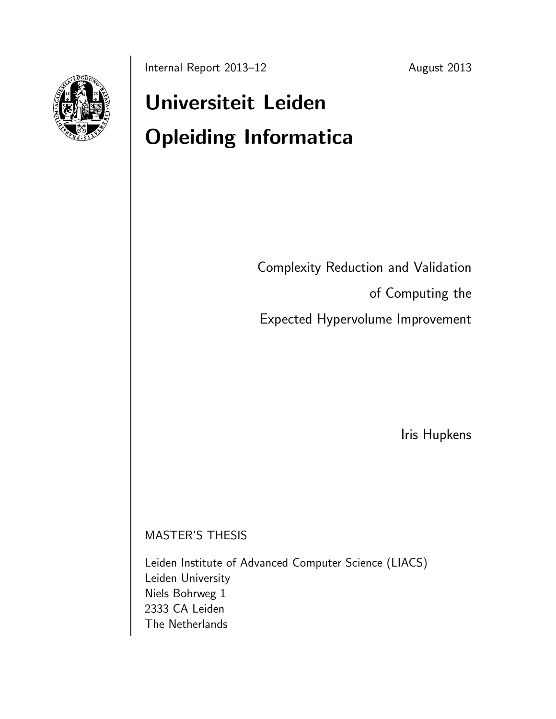

# Universiteit Leiden Opleiding Informatica

Complexity Reduction and Validation

of Computing the

Expected Hypervolume Improvement

Iris Hupkens

MASTER'S THESIS

Leiden Institute of Advanced Computer Science (LIACS) Leiden University Niels Bohrweg 1 2333 CA Leiden The Netherlands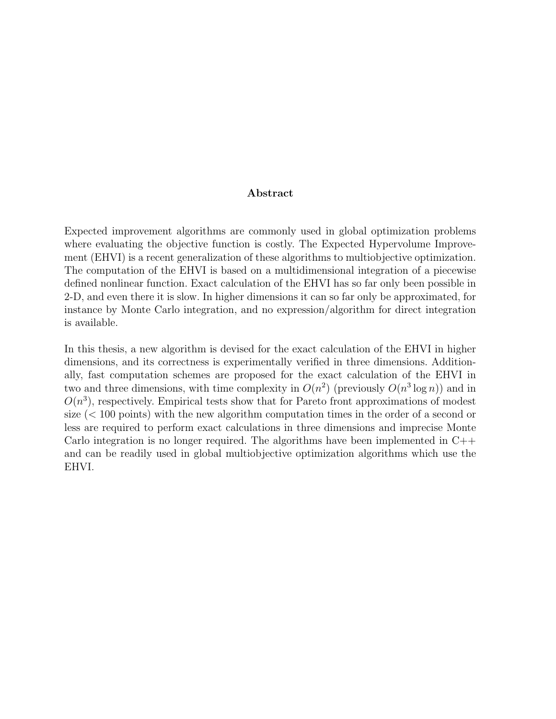#### Abstract

Expected improvement algorithms are commonly used in global optimization problems where evaluating the objective function is costly. The Expected Hypervolume Improvement (EHVI) is a recent generalization of these algorithms to multiobjective optimization. The computation of the EHVI is based on a multidimensional integration of a piecewise defined nonlinear function. Exact calculation of the EHVI has so far only been possible in 2-D, and even there it is slow. In higher dimensions it can so far only be approximated, for instance by Monte Carlo integration, and no expression/algorithm for direct integration is available.

In this thesis, a new algorithm is devised for the exact calculation of the EHVI in higher dimensions, and its correctness is experimentally verified in three dimensions. Additionally, fast computation schemes are proposed for the exact calculation of the EHVI in two and three dimensions, with time complexity in  $O(n^2)$  (previously  $O(n^3 \log n)$ ) and in  $O(n^3)$ , respectively. Empirical tests show that for Pareto front approximations of modest size (< 100 points) with the new algorithm computation times in the order of a second or less are required to perform exact calculations in three dimensions and imprecise Monte Carlo integration is no longer required. The algorithms have been implemented in  $C++$ and can be readily used in global multiobjective optimization algorithms which use the EHVI.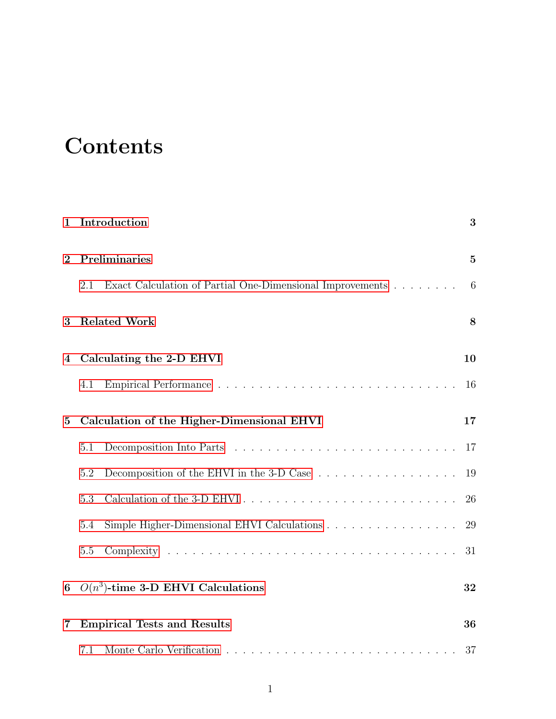## **Contents**

| $\mathbf{1}$                  | Introduction                                                                                 | 3  |  |  |  |  |
|-------------------------------|----------------------------------------------------------------------------------------------|----|--|--|--|--|
| $\mathbf{2}$                  | Preliminaries                                                                                |    |  |  |  |  |
|                               | Exact Calculation of Partial One-Dimensional Improvements<br>2.1                             | 6  |  |  |  |  |
| 3                             | <b>Related Work</b>                                                                          | 8  |  |  |  |  |
| Calculating the 2-D EHVI<br>4 |                                                                                              |    |  |  |  |  |
|                               | 4.1                                                                                          | 16 |  |  |  |  |
| $\bf{5}$                      | Calculation of the Higher-Dimensional EHVI                                                   |    |  |  |  |  |
|                               | 5.1                                                                                          | 17 |  |  |  |  |
|                               | Decomposition of the EHVI in the 3-D Case $\ldots \ldots \ldots \ldots \ldots \ldots$<br>5.2 | 19 |  |  |  |  |
|                               | 5.3                                                                                          | 26 |  |  |  |  |
|                               | Simple Higher-Dimensional EHVI Calculations<br>5.4                                           | 29 |  |  |  |  |
|                               | 5.5                                                                                          | 31 |  |  |  |  |
| 6                             | $O(n^3)$ -time 3-D EHVI Calculations                                                         |    |  |  |  |  |
| 7                             | <b>Empirical Tests and Results</b><br>36                                                     |    |  |  |  |  |
|                               | 7.1                                                                                          | 37 |  |  |  |  |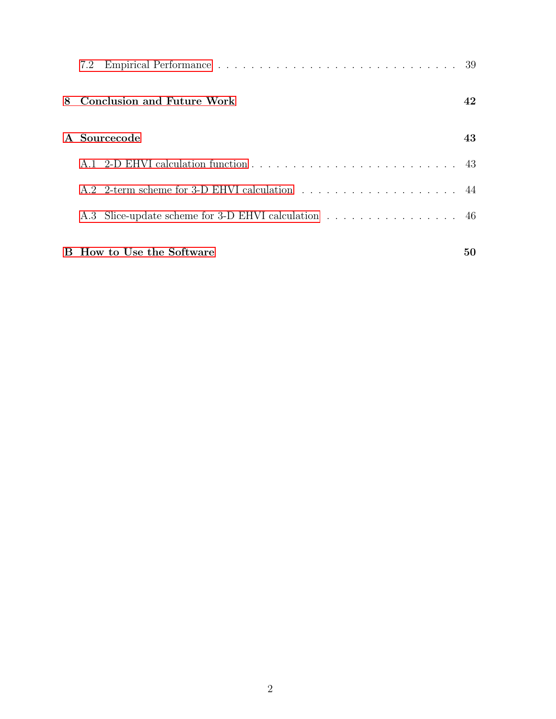|                              | 7.2                                                 |    |  |  |
|------------------------------|-----------------------------------------------------|----|--|--|
| 8 Conclusion and Future Work |                                                     |    |  |  |
| A Sourcecode                 |                                                     |    |  |  |
|                              |                                                     |    |  |  |
|                              |                                                     |    |  |  |
|                              | A.3 Slice-update scheme for 3-D EHVI calculation 46 |    |  |  |
|                              | <b>B</b> How to Use the Software                    | 50 |  |  |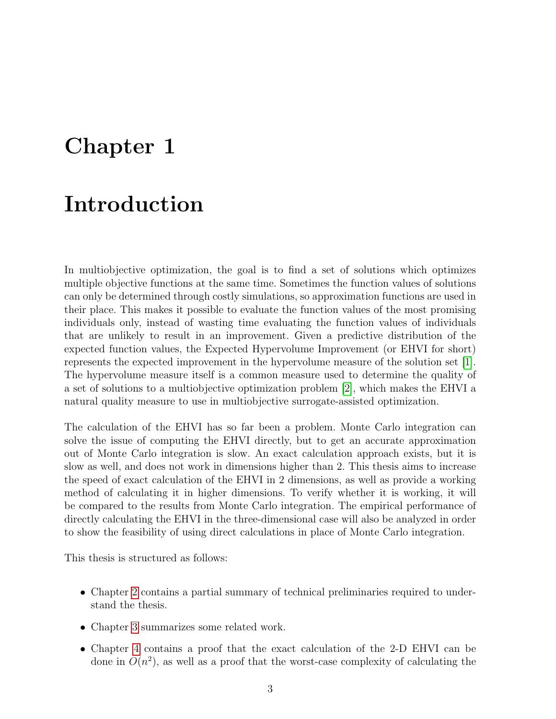### <span id="page-4-0"></span>Chapter 1

### Introduction

In multiobjective optimization, the goal is to find a set of solutions which optimizes multiple objective functions at the same time. Sometimes the function values of solutions can only be determined through costly simulations, so approximation functions are used in their place. This makes it possible to evaluate the function values of the most promising individuals only, instead of wasting time evaluating the function values of individuals that are unlikely to result in an improvement. Given a predictive distribution of the expected function values, the Expected Hypervolume Improvement (or EHVI for short) represents the expected improvement in the hypervolume measure of the solution set [\[1\]](#page-54-0). The hypervolume measure itself is a common measure used to determine the quality of a set of solutions to a multiobjective optimization problem [\[2\]](#page-54-1), which makes the EHVI a natural quality measure to use in multiobjective surrogate-assisted optimization.

The calculation of the EHVI has so far been a problem. Monte Carlo integration can solve the issue of computing the EHVI directly, but to get an accurate approximation out of Monte Carlo integration is slow. An exact calculation approach exists, but it is slow as well, and does not work in dimensions higher than 2. This thesis aims to increase the speed of exact calculation of the EHVI in 2 dimensions, as well as provide a working method of calculating it in higher dimensions. To verify whether it is working, it will be compared to the results from Monte Carlo integration. The empirical performance of directly calculating the EHVI in the three-dimensional case will also be analyzed in order to show the feasibility of using direct calculations in place of Monte Carlo integration.

This thesis is structured as follows:

- Chapter [2](#page-6-0) contains a partial summary of technical preliminaries required to understand the thesis.
- Chapter [3](#page-9-0) summarizes some related work.
- Chapter [4](#page-11-0) contains a proof that the exact calculation of the 2-D EHVI can be done in  $O(n^2)$ , as well as a proof that the worst-case complexity of calculating the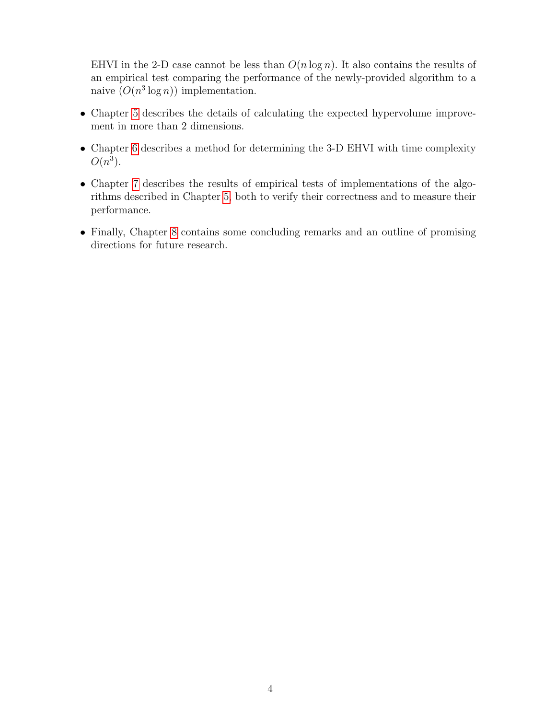EHVI in the 2-D case cannot be less than  $O(n \log n)$ . It also contains the results of an empirical test comparing the performance of the newly-provided algorithm to a naive  $(O(n^3 \log n))$  implementation.

- Chapter [5](#page-18-0) describes the details of calculating the expected hypervolume improvement in more than 2 dimensions.
- Chapter [6](#page-33-0) describes a method for determining the 3-D EHVI with time complexity  $O(n^3)$ .
- Chapter [7](#page-37-0) describes the results of empirical tests of implementations of the algorithms described in Chapter [5,](#page-18-0) both to verify their correctness and to measure their performance.
- Finally, Chapter [8](#page-43-0) contains some concluding remarks and an outline of promising directions for future research.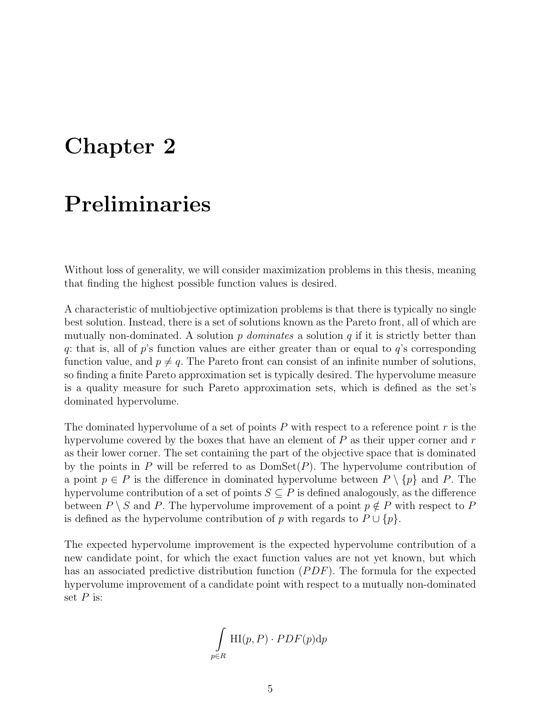### <span id="page-6-0"></span>Chapter 2

### Preliminaries

Without loss of generality, we will consider maximization problems in this thesis, meaning that finding the highest possible function values is desired.

A characteristic of multiobjective optimization problems is that there is typically no single best solution. Instead, there is a set of solutions known as the Pareto front, all of which are mutually non-dominated. A solution p *dominates* a solution  $q$  if it is strictly better than q: that is, all of p's function values are either greater than or equal to  $q$ 's corresponding function value, and  $p \neq q$ . The Pareto front can consist of an infinite number of solutions, so finding a finite Pareto approximation set is typically desired. The hypervolume measure is a quality measure for such Pareto approximation sets, which is defined as the set's dominated hypervolume.

The dominated hypervolume of a set of points  $P$  with respect to a reference point  $r$  is the hypervolume covered by the boxes that have an element of  $P$  as their upper corner and  $r$ as their lower corner. The set containing the part of the objective space that is dominated by the points in P will be referred to as  $DomSet(P)$ . The hypervolume contribution of a point  $p \in P$  is the difference in dominated hypervolume between  $P \setminus \{p\}$  and P. The hypervolume contribution of a set of points  $S \subseteq P$  is defined analogously, as the difference between  $P \setminus S$  and P. The hypervolume improvement of a point  $p \notin P$  with respect to P is defined as the hypervolume contribution of p with regards to  $P \cup \{p\}$ .

The expected hypervolume improvement is the expected hypervolume contribution of a new candidate point, for which the exact function values are not yet known, but which has an associated predictive distribution function  $(PDF)$ . The formula for the expected hypervolume improvement of a candidate point with respect to a mutually non-dominated set  $P$  is:

$$
\int_{p \in R} \mathrm{HI}(p, P) \cdot PDF(p) \mathrm{d}p
$$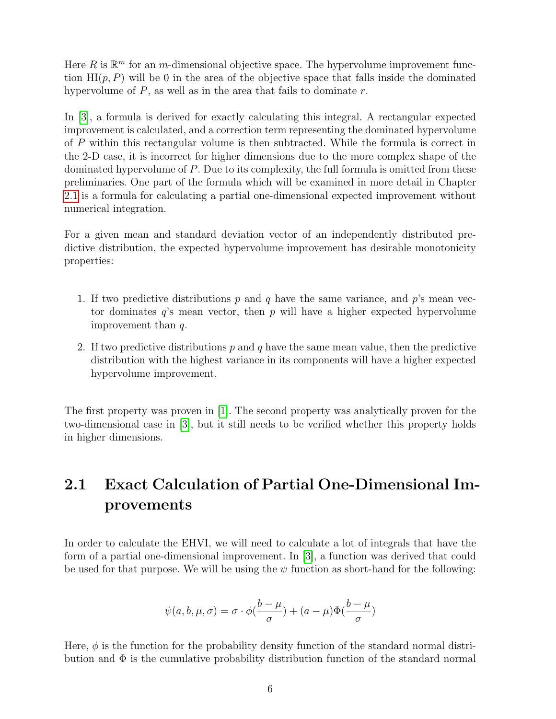Here  $R$  is  $\mathbb{R}^m$  for an m-dimensional objective space. The hypervolume improvement function  $\mathrm{HI}(p, P)$  will be 0 in the area of the objective space that falls inside the dominated hypervolume of  $P$ , as well as in the area that fails to dominate  $r$ .

In [\[3\]](#page-54-2), a formula is derived for exactly calculating this integral. A rectangular expected improvement is calculated, and a correction term representing the dominated hypervolume of P within this rectangular volume is then subtracted. While the formula is correct in the 2-D case, it is incorrect for higher dimensions due to the more complex shape of the dominated hypervolume of P. Due to its complexity, the full formula is omitted from these preliminaries. One part of the formula which will be examined in more detail in Chapter [2.1](#page-7-0) is a formula for calculating a partial one-dimensional expected improvement without numerical integration.

For a given mean and standard deviation vector of an independently distributed predictive distribution, the expected hypervolume improvement has desirable monotonicity properties:

- 1. If two predictive distributions p and q have the same variance, and  $p$ 's mean vector dominates  $q$ 's mean vector, then p will have a higher expected hypervolume improvement than q.
- 2. If two predictive distributions  $p$  and  $q$  have the same mean value, then the predictive distribution with the highest variance in its components will have a higher expected hypervolume improvement.

The first property was proven in [\[1\]](#page-54-0). The second property was analytically proven for the two-dimensional case in [\[3\]](#page-54-2), but it still needs to be verified whether this property holds in higher dimensions.

#### <span id="page-7-0"></span>2.1 Exact Calculation of Partial One-Dimensional Improvements

In order to calculate the EHVI, we will need to calculate a lot of integrals that have the form of a partial one-dimensional improvement. In [\[3\]](#page-54-2), a function was derived that could be used for that purpose. We will be using the  $\psi$  function as short-hand for the following:

$$
\psi(a, b, \mu, \sigma) = \sigma \cdot \phi(\frac{b - \mu}{\sigma}) + (a - \mu)\Phi(\frac{b - \mu}{\sigma})
$$

Here,  $\phi$  is the function for the probability density function of the standard normal distribution and  $\Phi$  is the cumulative probability distribution function of the standard normal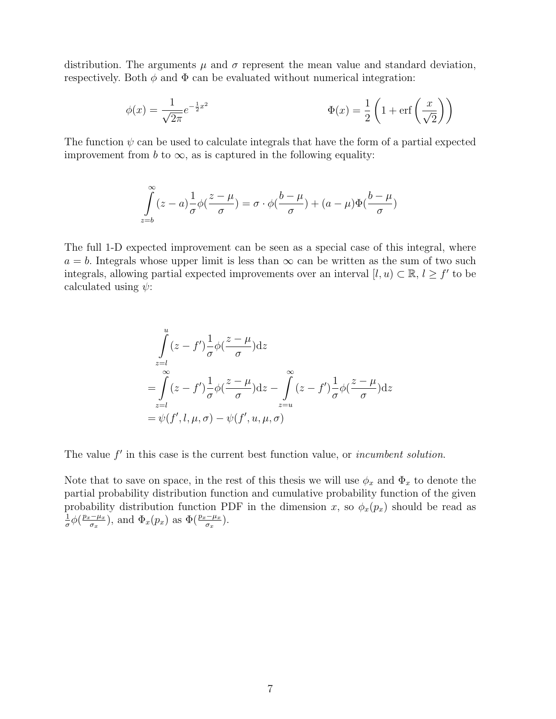distribution. The arguments  $\mu$  and  $\sigma$  represent the mean value and standard deviation, respectively. Both  $\phi$  and  $\Phi$  can be evaluated without numerical integration:

$$
\phi(x) = \frac{1}{\sqrt{2\pi}} e^{-\frac{1}{2}x^2}
$$
\n
$$
\Phi(x) = \frac{1}{2} \left( 1 + \text{erf}\left(\frac{x}{\sqrt{2}}\right) \right)
$$

The function  $\psi$  can be used to calculate integrals that have the form of a partial expected improvement from b to  $\infty$ , as is captured in the following equality:

$$
\int_{z=b}^{\infty} (z-a) \frac{1}{\sigma} \phi(\frac{z-\mu}{\sigma}) = \sigma \cdot \phi(\frac{b-\mu}{\sigma}) + (a-\mu)\Phi(\frac{b-\mu}{\sigma})
$$

The full 1-D expected improvement can be seen as a special case of this integral, where  $a = b$ . Integrals whose upper limit is less than  $\infty$  can be written as the sum of two such integrals, allowing partial expected improvements over an interval  $[l, u) \subset \mathbb{R}, l \geq f'$  to be calculated using  $\psi$ :

$$
\int_{z=l}^{u} (z - f') \frac{1}{\sigma} \phi \left(\frac{z - \mu}{\sigma}\right) dz
$$
\n
$$
= \int_{z=l}^{\infty} (z - f') \frac{1}{\sigma} \phi \left(\frac{z - \mu}{\sigma}\right) dz - \int_{z=u}^{\infty} (z - f') \frac{1}{\sigma} \phi \left(\frac{z - \mu}{\sigma}\right) dz
$$
\n
$$
= \psi(f', l, \mu, \sigma) - \psi(f', u, \mu, \sigma)
$$

The value  $f'$  in this case is the current best function value, or *incumbent solution*.

Note that to save on space, in the rest of this thesis we will use  $\phi_x$  and  $\Phi_x$  to denote the partial probability distribution function and cumulative probability function of the given probability distribution function PDF in the dimension x, so  $\phi_x(p_x)$  should be read as 1  $\frac{1}{\sigma}\phi\left(\frac{p_x-\mu_x}{\sigma_x}\right)$  $(\frac{\partial - \mu_x}{\partial x})$ , and  $\Phi_x(p_x)$  as  $\Phi(\frac{p_x - \mu_x}{\sigma_x})$ .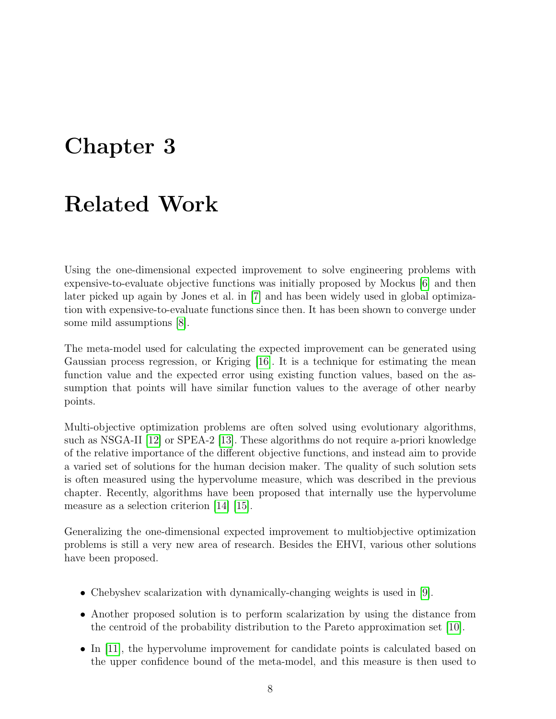### <span id="page-9-0"></span>Chapter 3

#### Related Work

Using the one-dimensional expected improvement to solve engineering problems with expensive-to-evaluate objective functions was initially proposed by Mockus [\[6\]](#page-54-3) and then later picked up again by Jones et al. in [\[7\]](#page-54-4) and has been widely used in global optimization with expensive-to-evaluate functions since then. It has been shown to converge under some mild assumptions [\[8\]](#page-54-5).

The meta-model used for calculating the expected improvement can be generated using Gaussian process regression, or Kriging [\[16\]](#page-55-0). It is a technique for estimating the mean function value and the expected error using existing function values, based on the assumption that points will have similar function values to the average of other nearby points.

Multi-objective optimization problems are often solved using evolutionary algorithms, such as NSGA-II [\[12\]](#page-55-1) or SPEA-2 [\[13\]](#page-55-2). These algorithms do not require a-priori knowledge of the relative importance of the different objective functions, and instead aim to provide a varied set of solutions for the human decision maker. The quality of such solution sets is often measured using the hypervolume measure, which was described in the previous chapter. Recently, algorithms have been proposed that internally use the hypervolume measure as a selection criterion [\[14\]](#page-55-3) [\[15\]](#page-55-4).

Generalizing the one-dimensional expected improvement to multiobjective optimization problems is still a very new area of research. Besides the EHVI, various other solutions have been proposed.

- Chebyshev scalarization with dynamically-changing weights is used in [\[9\]](#page-54-6).
- Another proposed solution is to perform scalarization by using the distance from the centroid of the probability distribution to the Pareto approximation set [\[10\]](#page-54-7).
- In [\[11\]](#page-55-5), the hypervolume improvement for candidate points is calculated based on the upper confidence bound of the meta-model, and this measure is then used to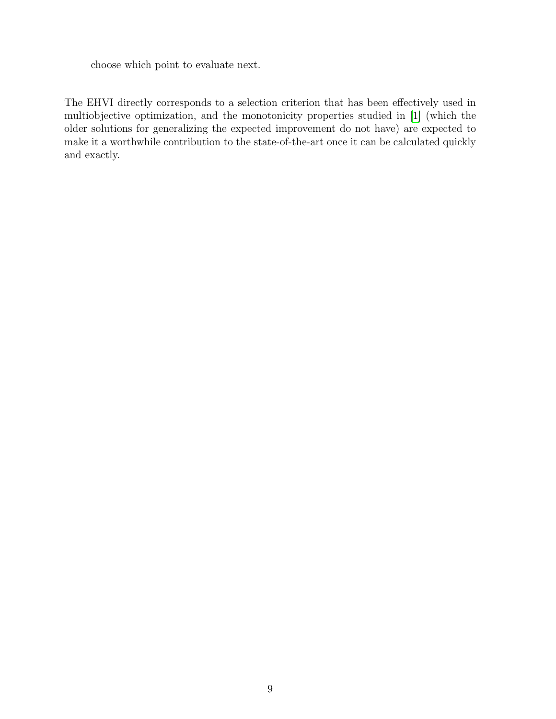choose which point to evaluate next.

The EHVI directly corresponds to a selection criterion that has been effectively used in multiobjective optimization, and the monotonicity properties studied in [\[1\]](#page-54-0) (which the older solutions for generalizing the expected improvement do not have) are expected to make it a worthwhile contribution to the state-of-the-art once it can be calculated quickly and exactly.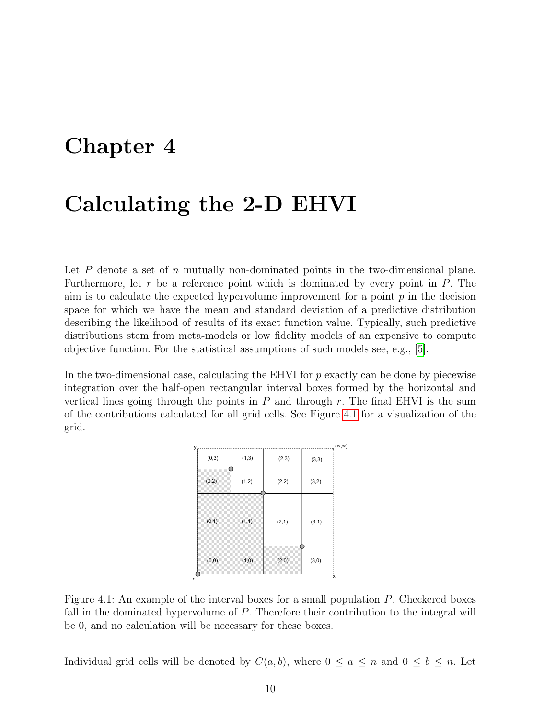#### <span id="page-11-0"></span>Chapter 4

### Calculating the 2-D EHVI

Let  $P$  denote a set of  $n$  mutually non-dominated points in the two-dimensional plane. Furthermore, let r be a reference point which is dominated by every point in  $P$ . The aim is to calculate the expected hypervolume improvement for a point  $p$  in the decision space for which we have the mean and standard deviation of a predictive distribution describing the likelihood of results of its exact function value. Typically, such predictive distributions stem from meta-models or low fidelity models of an expensive to compute objective function. For the statistical assumptions of such models see, e.g., [\[5\]](#page-54-8).

In the two-dimensional case, calculating the EHVI for  $p$  exactly can be done by piecewise integration over the half-open rectangular interval boxes formed by the horizontal and vertical lines going through the points in  $P$  and through  $r$ . The final EHVI is the sum of the contributions calculated for all grid cells. See Figure [4.1](#page-11-1) for a visualization of the grid.

| у |        |       |        |        | $(\infty, \infty)$ |
|---|--------|-------|--------|--------|--------------------|
|   | (0,3)  | (1,3) | (2,3)  | (3,3)  |                    |
|   | (0, 2) | (1,2) | (2,2)  | (3,2)  |                    |
|   | (0,1)  | (1,1) | (2, 1) | (3, 1) |                    |
|   | (0, 0) | (1,0) | (2,0)  | (3,0)  |                    |
| r |        |       |        |        | x                  |

<span id="page-11-1"></span>Figure 4.1: An example of the interval boxes for a small population  $P$ . Checkered boxes fall in the dominated hypervolume of P. Therefore their contribution to the integral will be 0, and no calculation will be necessary for these boxes.

Individual grid cells will be denoted by  $C(a, b)$ , where  $0 \le a \le n$  and  $0 \le b \le n$ . Let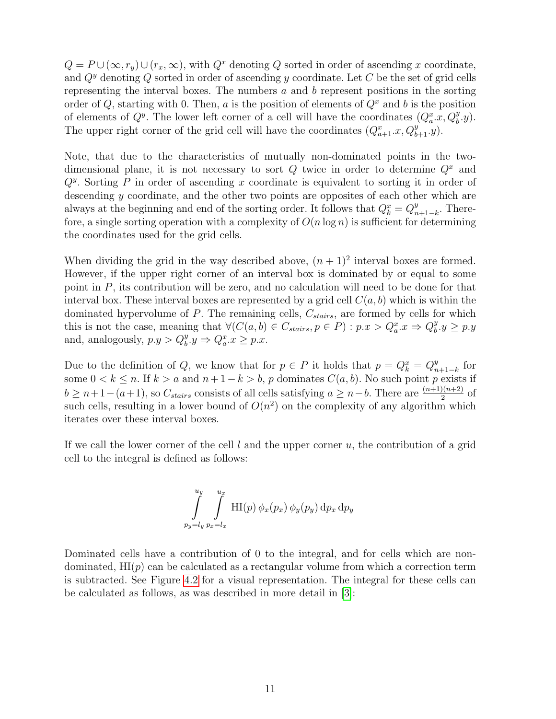$Q = P \cup (\infty, r_y) \cup (r_x, \infty)$ , with  $Q^x$  denoting Q sorted in order of ascending x coordinate, and  $Q^y$  denoting Q sorted in order of ascending y coordinate. Let C be the set of grid cells representing the interval boxes. The numbers  $a$  and  $b$  represent positions in the sorting order of Q, starting with 0. Then, a is the position of elements of  $Q<sup>x</sup>$  and b is the position of elements of  $Q^y$ . The lower left corner of a cell will have the coordinates  $(Q_a^x, x, Q_b^y, y)$ . The upper right corner of the grid cell will have the coordinates  $(Q_{a+1}^x, Q_{b+1}^y, y)$ .

Note, that due to the characteristics of mutually non-dominated points in the twodimensional plane, it is not necessary to sort  $Q$  twice in order to determine  $Q<sup>x</sup>$  and  $Q<sup>y</sup>$ . Sorting P in order of ascending x coordinate is equivalent to sorting it in order of descending  $y$  coordinate, and the other two points are opposites of each other which are always at the beginning and end of the sorting order. It follows that  $Q_k^x = Q_n^y$  $_{n+1-k}^y$ . Therefore, a single sorting operation with a complexity of  $O(n \log n)$  is sufficient for determining the coordinates used for the grid cells.

When dividing the grid in the way described above,  $(n + 1)^2$  interval boxes are formed. However, if the upper right corner of an interval box is dominated by or equal to some point in P, its contribution will be zero, and no calculation will need to be done for that interval box. These interval boxes are represented by a grid cell  $C(a, b)$  which is within the dominated hypervolume of  $P$ . The remaining cells,  $C_{stairs}$ , are formed by cells for which this is not the case, meaning that  $\forall (C(a, b) \in C_{stairs}, p \in P) : p.x > Q_a^x.x \Rightarrow Q_b^y$  $_b^y.y \geq p.y$ and, analogously,  $p.y > Q_b^y.y \Rightarrow Q_a^x.x \geq p.x$ .

Due to the definition of Q, we know that for  $p \in P$  it holds that  $p = Q_k^x = Q_n^y$  $_{n+1-k}^y$  for some  $0 < k \leq n$ . If  $k > a$  and  $n + 1 - k > b$ , p dominates  $C(a, b)$ . No such point p exists if  $b \geq n+1-(a+1)$ , so  $C_{stairs}$  consists of all cells satisfying  $a \geq n-b$ . There are  $\frac{(n+1)(n+2)}{2}$  of such cells, resulting in a lower bound of  $O(n^2)$  on the complexity of any algorithm which iterates over these interval boxes.

If we call the lower corner of the cell  $l$  and the upper corner  $u$ , the contribution of a grid cell to the integral is defined as follows:

$$
\int_{p_y=l_y}^{u_y} \int_{p_x=l_x}^{u_x} \text{HI}(p) \phi_x(p_x) \phi_y(p_y) \,dp_x \,dp_y
$$

Dominated cells have a contribution of 0 to the integral, and for cells which are nondominated,  $HI(p)$  can be calculated as a rectangular volume from which a correction term is subtracted. See Figure [4.2](#page-13-0) for a visual representation. The integral for these cells can be calculated as follows, as was described in more detail in [\[3\]](#page-54-2):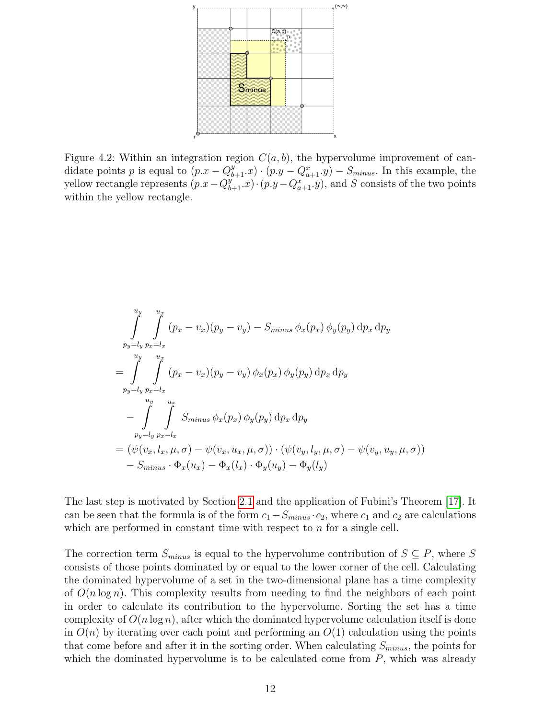

<span id="page-13-0"></span>Figure 4.2: Within an integration region  $C(a, b)$ , the hypervolume improvement of candidate points p is equal to  $(p.x - Q_{b+1}^y.x) \cdot (p.y - Q_{a+1}^x.y) - S_{minus}$ . In this example, the yellow rectangle represents  $(p.x - Q_{b+1}^{y''}.x) \cdot (p.y - Q_{a+1}^{x''}.y)$ , and S consists of the two points within the yellow rectangle.

$$
\int_{p_y=l_y}^{u_y} \int_{p_x=l_x}^{u_x} (p_x - v_x)(p_y - v_y) - S_{minus} \phi_x(p_x) \phi_y(p_y) dp_x dp_y
$$
\n
$$
= \int_{p_y=l_y}^{u_y} \int_{p_x=l_x}^{u_x} (p_x - v_x)(p_y - v_y) \phi_x(p_x) \phi_y(p_y) dp_x dp_y
$$
\n
$$
- \int_{p_y=l_y}^{u_y} \int_{p_x=l_x}^{u_x} S_{minus} \phi_x(p_x) \phi_y(p_y) dp_x dp_y
$$
\n
$$
= (\psi(v_x, l_x, \mu, \sigma) - \psi(v_x, u_x, \mu, \sigma)) \cdot (\psi(v_y, l_y, \mu, \sigma) - \psi(v_y, u_y, \mu, \sigma))
$$
\n
$$
- S_{minus} \cdot \Phi_x(u_x) - \Phi_x(l_x) \cdot \Phi_y(u_y) - \Phi_y(l_y)
$$

The last step is motivated by Section [2.1](#page-7-0) and the application of Fubini's Theorem [\[17\]](#page-55-6). It can be seen that the formula is of the form  $c_1-S_{minus} \cdot c_2$ , where  $c_1$  and  $c_2$  are calculations which are performed in constant time with respect to  $n$  for a single cell.

The correction term  $S_{minus}$  is equal to the hypervolume contribution of  $S \subseteq P$ , where S consists of those points dominated by or equal to the lower corner of the cell. Calculating the dominated hypervolume of a set in the two-dimensional plane has a time complexity of  $O(n \log n)$ . This complexity results from needing to find the neighbors of each point in order to calculate its contribution to the hypervolume. Sorting the set has a time complexity of  $O(n \log n)$ , after which the dominated hypervolume calculation itself is done in  $O(n)$  by iterating over each point and performing an  $O(1)$  calculation using the points that come before and after it in the sorting order. When calculating  $S_{minus}$ , the points for which the dominated hypervolume is to be calculated come from  $P$ , which was already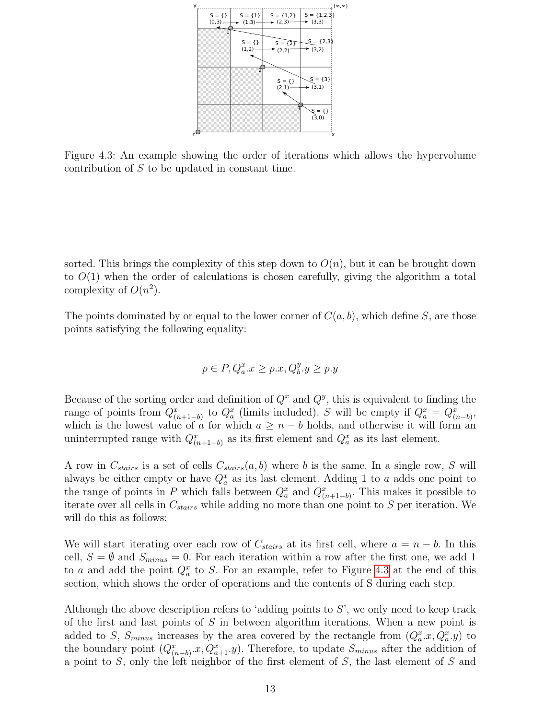

<span id="page-14-0"></span>Figure 4.3: An example showing the order of iterations which allows the hypervolume contribution of S to be updated in constant time.

sorted. This brings the complexity of this step down to  $O(n)$ , but it can be brought down to  $O(1)$  when the order of calculations is chosen carefully, giving the algorithm a total complexity of  $O(n^2)$ .

The points dominated by or equal to the lower corner of  $C(a, b)$ , which define S, are those points satisfying the following equality:

$$
p \in P, Q_a^x.x \ge p.x, Q_b^y.y \ge p.y
$$

Because of the sorting order and definition of  $Q^x$  and  $Q^y$ , this is equivalent to finding the range of points from  $Q_{(n+1-b)}^x$  to  $Q_a^x$  (limits included). S will be empty if  $Q_a^x = Q_{(n-b)}^x$ , which is the lowest value of a for which  $a \geq n - b$  holds, and otherwise it will form an uninterrupted range with  $Q_{(n+1-b)}^x$  as its first element and  $Q_a^x$  as its last element.

A row in  $C_{stairs}$  is a set of cells  $C_{stairs}(a, b)$  where b is the same. In a single row, S will always be either empty or have  $Q_a^x$  as its last element. Adding 1 to a adds one point to the range of points in P which falls between  $Q_a^x$  and  $Q_{(n+1-b)}^x$ . This makes it possible to iterate over all cells in  $C_{stairs}$  while adding no more than one point to S per iteration. We will do this as follows:

We will start iterating over each row of  $C_{stairs}$  at its first cell, where  $a = n - b$ . In this cell,  $S = \emptyset$  and  $S_{minus} = 0$ . For each iteration within a row after the first one, we add 1 to a and add the point  $Q_a^x$  to S. For an example, refer to Figure [4.3](#page-14-0) at the end of this section, which shows the order of operations and the contents of S during each step.

Although the above description refers to 'adding points to  $S$ ', we only need to keep track of the first and last points of S in between algorithm iterations. When a new point is added to S,  $S_{minus}$  increases by the area covered by the rectangle from  $(Q_a^x x, Q_a^x y)$  to the boundary point  $(Q_{(n-b)}^x, Q_{a+1}^x, y)$ . Therefore, to update  $S_{minus}$  after the addition of a point to S, only the left neighbor of the first element of S, the last element of S and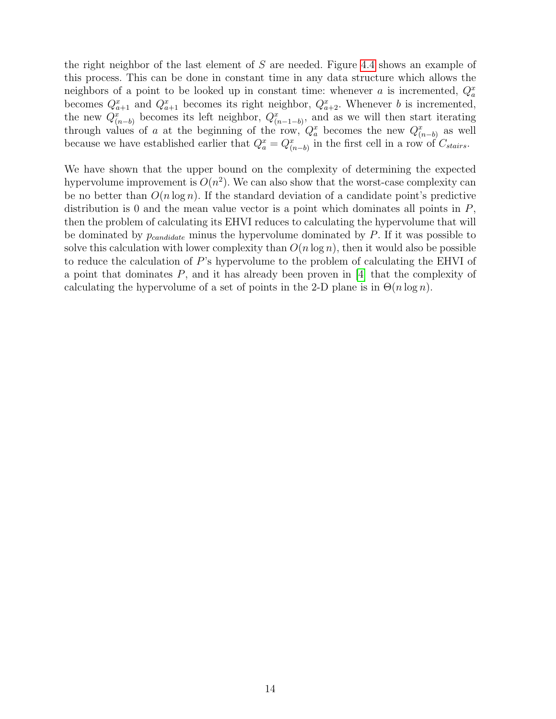the right neighbor of the last element of S are needed. Figure [4.4](#page-16-0) shows an example of this process. This can be done in constant time in any data structure which allows the neighbors of a point to be looked up in constant time: whenever a is incremented,  $Q_a^x$ becomes  $Q_{a+1}^x$  and  $Q_{a+1}^x$  becomes its right neighbor,  $Q_{a+2}^x$ . Whenever b is incremented, the new  $Q_{(n-b)}^x$  becomes its left neighbor,  $Q_{(n-1-b)}^x$ , and as we will then start iterating through values of a at the beginning of the row,  $Q_a^x$  becomes the new  $Q_{(n-b)}^x$  as well because we have established earlier that  $Q_a^x = Q_{(n-b)}^x$  in the first cell in a row of  $C_{stairs}$ .

We have shown that the upper bound on the complexity of determining the expected hypervolume improvement is  $O(n^2)$ . We can also show that the worst-case complexity can be no better than  $O(n \log n)$ . If the standard deviation of a candidate point's predictive distribution is 0 and the mean value vector is a point which dominates all points in  $P$ , then the problem of calculating its EHVI reduces to calculating the hypervolume that will be dominated by  $p_{candidate}$  minus the hypervolume dominated by  $P$ . If it was possible to solve this calculation with lower complexity than  $O(n \log n)$ , then it would also be possible to reduce the calculation of P's hypervolume to the problem of calculating the EHVI of a point that dominates P, and it has already been proven in [\[4\]](#page-54-9) that the complexity of calculating the hypervolume of a set of points in the 2-D plane is in  $\Theta(n \log n)$ .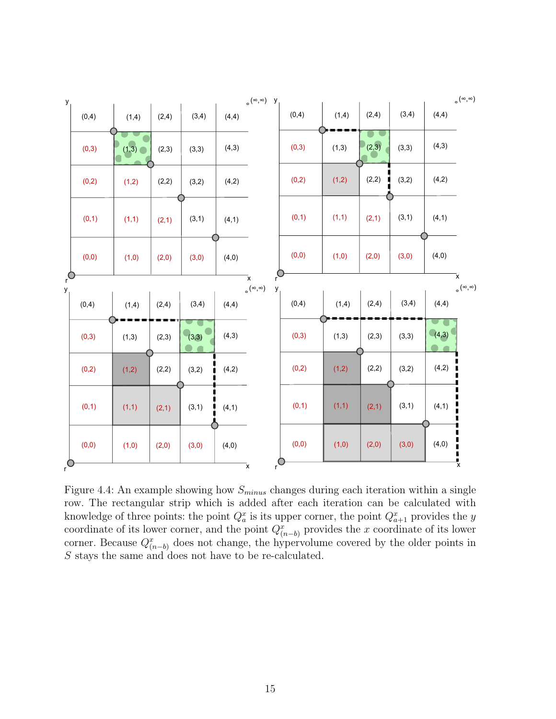

<span id="page-16-0"></span>Figure 4.4: An example showing how  $S_{minus}$  changes during each iteration within a single row. The rectangular strip which is added after each iteration can be calculated with knowledge of three points: the point  $Q_a^x$  is its upper corner, the point  $Q_{a+1}^x$  provides the y coordinate of its lower corner, and the point  $Q_{(n-b)}^x$  provides the x coordinate of its lower corner. Because  $Q_{(n-b)}^x$  does not change, the hypervolume covered by the older points in S stays the same and does not have to be re-calculated.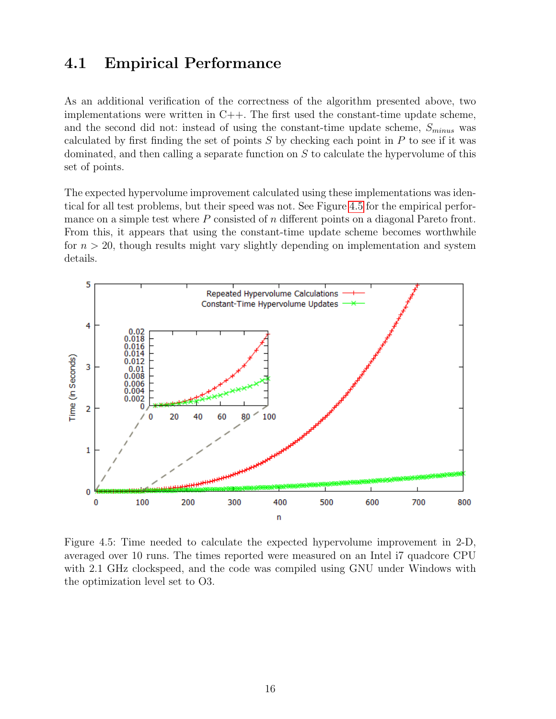#### <span id="page-17-0"></span>4.1 Empirical Performance

As an additional verification of the correctness of the algorithm presented above, two implementations were written in  $C++$ . The first used the constant-time update scheme, and the second did not: instead of using the constant-time update scheme,  $S_{minus}$  was calculated by first finding the set of points  $S$  by checking each point in  $P$  to see if it was dominated, and then calling a separate function on S to calculate the hypervolume of this set of points.

The expected hypervolume improvement calculated using these implementations was identical for all test problems, but their speed was not. See Figure [4.5](#page-17-1) for the empirical performance on a simple test where  $P$  consisted of  $n$  different points on a diagonal Pareto front. From this, it appears that using the constant-time update scheme becomes worthwhile for  $n > 20$ , though results might vary slightly depending on implementation and system details.



<span id="page-17-1"></span>Figure 4.5: Time needed to calculate the expected hypervolume improvement in 2-D, averaged over 10 runs. The times reported were measured on an Intel i7 quadcore CPU with 2.1 GHz clockspeed, and the code was compiled using GNU under Windows with the optimization level set to O3.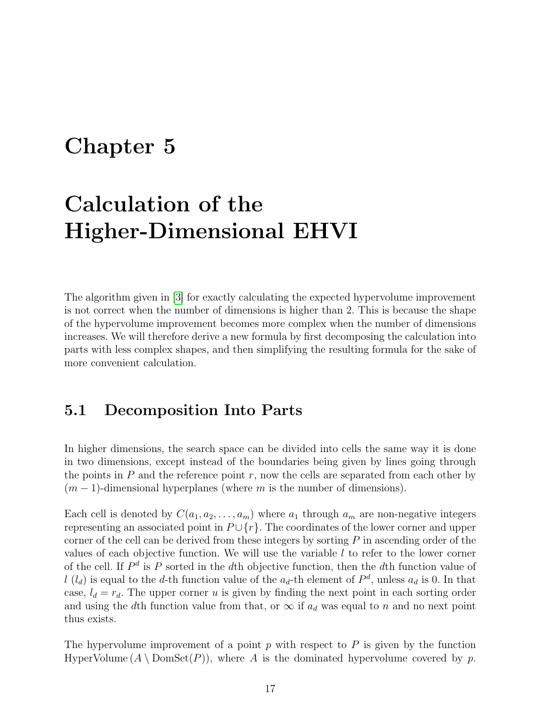### <span id="page-18-0"></span>Chapter 5

# Calculation of the Higher-Dimensional EHVI

The algorithm given in [\[3\]](#page-54-2) for exactly calculating the expected hypervolume improvement is not correct when the number of dimensions is higher than 2. This is because the shape of the hypervolume improvement becomes more complex when the number of dimensions increases. We will therefore derive a new formula by first decomposing the calculation into parts with less complex shapes, and then simplifying the resulting formula for the sake of more convenient calculation.

#### <span id="page-18-1"></span>5.1 Decomposition Into Parts

In higher dimensions, the search space can be divided into cells the same way it is done in two dimensions, except instead of the boundaries being given by lines going through the points in  $P$  and the reference point  $r$ , now the cells are separated from each other by  $(m-1)$ -dimensional hyperplanes (where m is the number of dimensions).

Each cell is denoted by  $C(a_1, a_2, \ldots, a_m)$  where  $a_1$  through  $a_m$  are non-negative integers representing an associated point in  $P \cup \{r\}$ . The coordinates of the lower corner and upper corner of the cell can be derived from these integers by sorting  $P$  in ascending order of the values of each objective function. We will use the variable  $l$  to refer to the lower corner of the cell. If  $P^d$  is P sorted in the dth objective function, then the dth function value of  $l(l_d)$  is equal to the d-th function value of the  $a_d$ -th element of  $P^d$ , unless  $a_d$  is 0. In that case,  $l_d = r_d$ . The upper corner u is given by finding the next point in each sorting order and using the dth function value from that, or  $\infty$  if  $a_d$  was equal to n and no next point thus exists.

The hypervolume improvement of a point  $p$  with respect to  $P$  is given by the function HyperVolume  $(A \setminus \text{DomSet}(P))$ , where A is the dominated hypervolume covered by p.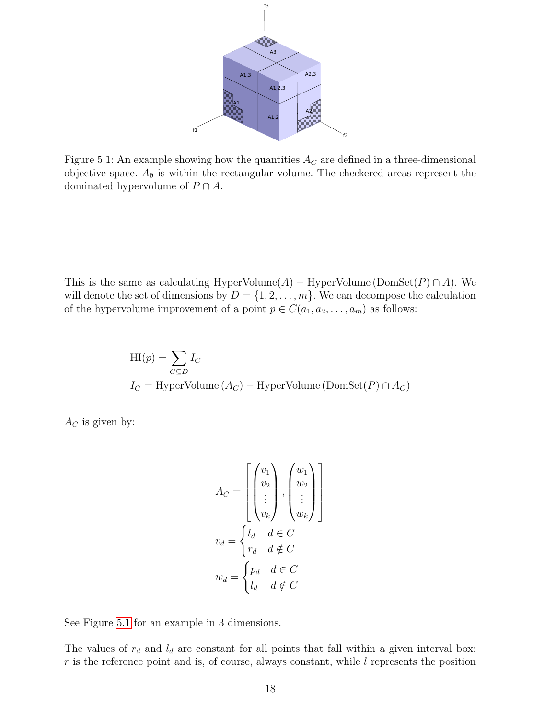

<span id="page-19-0"></span>Figure 5.1: An example showing how the quantities  $A_C$  are defined in a three-dimensional objective space.  $A_{\emptyset}$  is within the rectangular volume. The checkered areas represent the dominated hypervolume of  $P \cap A$ .

This is the same as calculating HyperVolume( $A$ ) – HyperVolume (DomSet( $P$ ) ∩  $A$ ). We will denote the set of dimensions by  $D = \{1, 2, \ldots, m\}$ . We can decompose the calculation of the hypervolume improvement of a point  $p \in C(a_1, a_2, \ldots, a_m)$  as follows:

$$
HI(p) = \sum_{C \subseteq D} I_C
$$
  

$$
I_C = HyperVolume (A_C) - HyperVolume (DomSet(P) \cap A_C)
$$

 $A_C$  is given by:

$$
A_C = \begin{bmatrix} \begin{pmatrix} v_1 \\ v_2 \\ \vdots \\ v_k \end{pmatrix}, \begin{pmatrix} w_1 \\ w_2 \\ \vdots \\ w_k \end{pmatrix} \end{bmatrix}
$$

$$
v_d = \begin{cases} l_d & d \in C \\ r_d & d \notin C \end{cases}
$$

$$
w_d = \begin{cases} p_d & d \in C \\ l_d & d \notin C \end{cases}
$$

See Figure [5.1](#page-19-0) for an example in 3 dimensions.

The values of  $r_d$  and  $l_d$  are constant for all points that fall within a given interval box:  $r$  is the reference point and is, of course, always constant, while  $l$  represents the position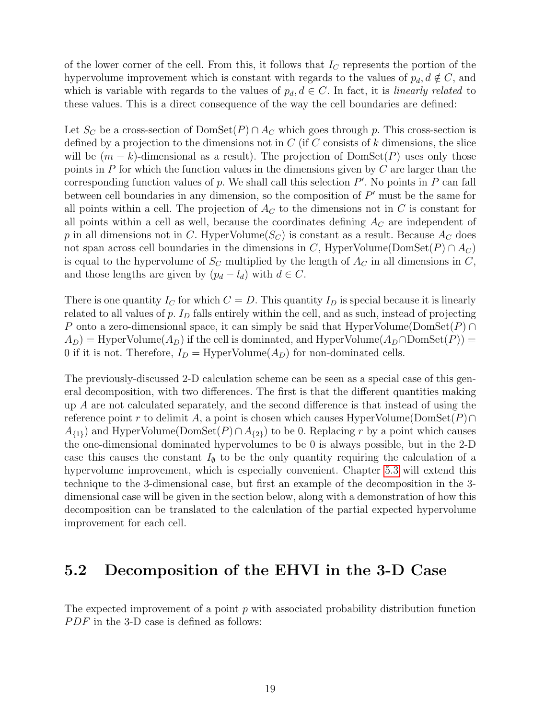of the lower corner of the cell. From this, it follows that  $I_C$  represents the portion of the hypervolume improvement which is constant with regards to the values of  $p_d, d \notin C$ , and which is variable with regards to the values of  $p_d, d \in C$ . In fact, it is *linearly related* to these values. This is a direct consequence of the way the cell boundaries are defined:

Let  $S_C$  be a cross-section of  $DomSet(P) \cap A_C$  which goes through p. This cross-section is defined by a projection to the dimensions not in  $C$  (if  $C$  consists of k dimensions, the slice will be  $(m - k)$ -dimensional as a result). The projection of DomSet(P) uses only those points in  $P$  for which the function values in the dimensions given by  $C$  are larger than the corresponding function values of  $p$ . We shall call this selection  $P'$ . No points in  $P$  can fall between cell boundaries in any dimension, so the composition of  $P'$  must be the same for all points within a cell. The projection of  $A_C$  to the dimensions not in C is constant for all points within a cell as well, because the coordinates defining  $A_C$  are independent of p in all dimensions not in C. HyperVolume $(S_C)$  is constant as a result. Because  $A_C$  does not span across cell boundaries in the dimensions in C, HyperVolume(DomSet(P) ∩  $A_C$ ) is equal to the hypervolume of  $S_C$  multiplied by the length of  $A_C$  in all dimensions in C, and those lengths are given by  $(p_d - l_d)$  with  $d \in C$ .

There is one quantity  $I_C$  for which  $C = D$ . This quantity  $I_D$  is special because it is linearly related to all values of  $p$ .  $I_D$  falls entirely within the cell, and as such, instead of projecting P onto a zero-dimensional space, it can simply be said that HyperVolume(DomSet $(P) \cap$  $(A_D)$  = HyperVolume $(A_D)$  if the cell is dominated, and HyperVolume $(A_D \cap \text{DomSet}(P))$  = 0 if it is not. Therefore,  $I_D = \text{HyperVolume}(A_D)$  for non-dominated cells.

The previously-discussed 2-D calculation scheme can be seen as a special case of this general decomposition, with two differences. The first is that the different quantities making up A are not calculated separately, and the second difference is that instead of using the reference point r to delimit A, a point is chosen which causes HyperVolume(DomSet $(P) \cap$  $A_{\{1\}}$  and HyperVolume(DomSet(P)∩ $A_{\{2\}}$ ) to be 0. Replacing r by a point which causes the one-dimensional dominated hypervolumes to be 0 is always possible, but in the 2-D case this causes the constant  $I_{\emptyset}$  to be the only quantity requiring the calculation of a hypervolume improvement, which is especially convenient. Chapter [5.3](#page-27-0) will extend this technique to the 3-dimensional case, but first an example of the decomposition in the 3 dimensional case will be given in the section below, along with a demonstration of how this decomposition can be translated to the calculation of the partial expected hypervolume improvement for each cell.

#### <span id="page-20-0"></span>5.2 Decomposition of the EHVI in the 3-D Case

The expected improvement of a point  $p$  with associated probability distribution function  $PDF$  in the 3-D case is defined as follows: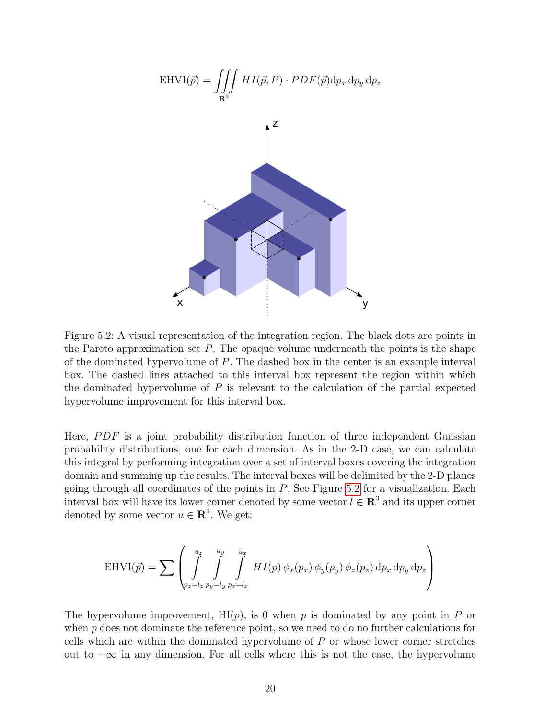

<span id="page-21-0"></span>Figure 5.2: A visual representation of the integration region. The black dots are points in the Pareto approximation set  $P$ . The opaque volume underneath the points is the shape of the dominated hypervolume of P. The dashed box in the center is an example interval box. The dashed lines attached to this interval box represent the region within which the dominated hypervolume of  $P$  is relevant to the calculation of the partial expected hypervolume improvement for this interval box.

Here,  $PDF$  is a joint probability distribution function of three independent Gaussian probability distributions, one for each dimension. As in the 2-D case, we can calculate this integral by performing integration over a set of interval boxes covering the integration domain and summing up the results. The interval boxes will be delimited by the 2-D planes going through all coordinates of the points in  $P$ . See Figure [5.2](#page-21-0) for a visualization. Each interval box will have its lower corner denoted by some vector  $l \in \mathbb{R}^3$  and its upper corner denoted by some vector  $u \in \mathbb{R}^3$ . We get:

$$
\text{EHVI}(\vec{p}) = \sum \left( \int_{p_z=l_z}^{u_z} \int_{p_y=l_y}^{u_y} \int_{p_x=l_x}^{u_x} HI(p) \phi_x(p_x) \phi_y(p_y) \phi_z(p_z) dp_x dp_y dp_z \right)
$$

The hypervolume improvement,  $H(p)$ , is 0 when p is dominated by any point in P or when  $p$  does not dominate the reference point, so we need to do no further calculations for cells which are within the dominated hypervolume of P or whose lower corner stretches out to  $-\infty$  in any dimension. For all cells where this is not the case, the hypervolume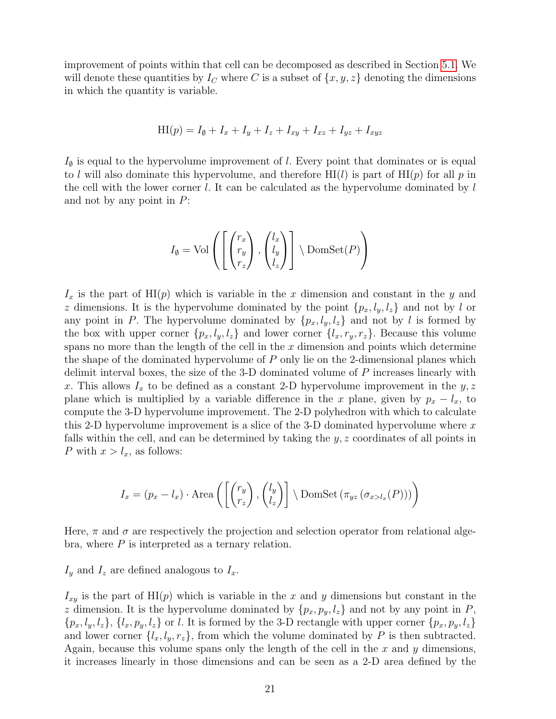improvement of points within that cell can be decomposed as described in Section [5.1.](#page-18-1) We will denote these quantities by  $I_C$  where C is a subset of  $\{x, y, z\}$  denoting the dimensions in which the quantity is variable.

$$
HI(p) = I_{\emptyset} + I_x + I_y + I_z + I_{xy} + I_{xz} + I_{yz} + I_{xyz}
$$

 $I_{\emptyset}$  is equal to the hypervolume improvement of l. Every point that dominates or is equal to l will also dominate this hypervolume, and therefore  $H1(l)$  is part of  $H1(p)$  for all p in the cell with the lower corner  $l$ . It can be calculated as the hypervolume dominated by  $l$ and not by any point in  $P$ :

$$
I_{\emptyset} = \text{Vol}\left(\left[\begin{pmatrix} r_x \\ r_y \\ r_z \end{pmatrix}, \begin{pmatrix} l_x \\ l_y \\ l_z \end{pmatrix}\right] \setminus \text{DomSet}(P)\right)
$$

 $I_x$  is the part of HI(p) which is variable in the x dimension and constant in the y and z dimensions. It is the hypervolume dominated by the point  $\{p_x, l_y, l_z\}$  and not by l or any point in P. The hypervolume dominated by  $\{p_x, l_y, l_z\}$  and not by l is formed by the box with upper corner  $\{p_x, l_y, l_z\}$  and lower corner  $\{l_x, r_y, r_z\}$ . Because this volume spans no more than the length of the cell in the  $x$  dimension and points which determine the shape of the dominated hypervolume of  $P$  only lie on the 2-dimensional planes which delimit interval boxes, the size of the 3-D dominated volume of  $P$  increases linearly with x. This allows  $I_x$  to be defined as a constant 2-D hypervolume improvement in the  $y, z$ plane which is multiplied by a variable difference in the x plane, given by  $p_x - l_x$ , to compute the 3-D hypervolume improvement. The 2-D polyhedron with which to calculate this 2-D hypervolume improvement is a slice of the 3-D dominated hypervolume where  $x$ falls within the cell, and can be determined by taking the  $y, z$  coordinates of all points in P with  $x > l_x$ , as follows:

$$
I_x = (p_x - l_x) \cdot \text{Area}\left(\left[\begin{pmatrix} r_y \\ r_z \end{pmatrix}, \begin{pmatrix} l_y \\ l_z \end{pmatrix}\right] \setminus \text{DomSet}\left(\pi_{yz}\left(\sigma_{x>l_x}(P)\right)\right)\right)
$$

Here,  $\pi$  and  $\sigma$  are respectively the projection and selection operator from relational algebra, where  $P$  is interpreted as a ternary relation.

 $I_y$  and  $I_z$  are defined analogous to  $I_x$ .

 $I_{xy}$  is the part of HI(p) which is variable in the x and y dimensions but constant in the z dimension. It is the hypervolume dominated by  $\{p_x, p_y, l_z\}$  and not by any point in P,  $\{p_x, l_y, l_z\}, \{l_x, p_y, l_z\}$  or l. It is formed by the 3-D rectangle with upper corner  $\{p_x, p_y, l_z\}$ and lower corner  $\{l_x, l_y, r_z\}$ , from which the volume dominated by P is then subtracted. Again, because this volume spans only the length of the cell in the  $x$  and  $y$  dimensions, it increases linearly in those dimensions and can be seen as a 2-D area defined by the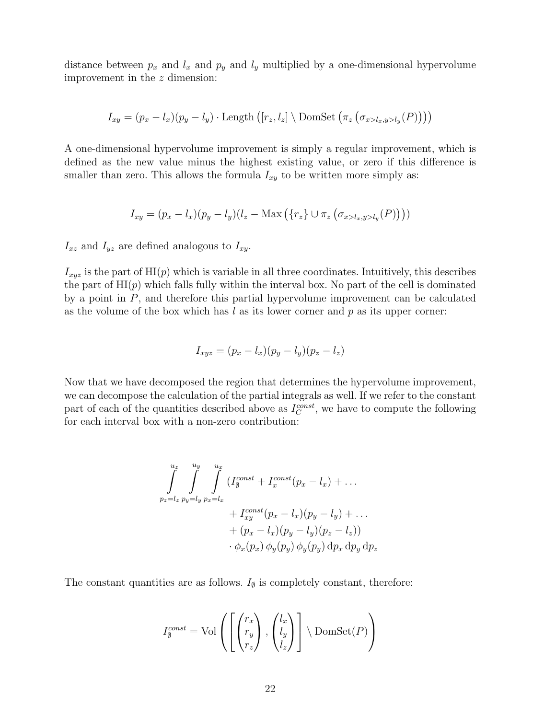distance between  $p_x$  and  $l_x$  and  $p_y$  and  $l_y$  multiplied by a one-dimensional hypervolume improvement in the z dimension:

$$
I_{xy} = (p_x - l_x)(p_y - l_y) \cdot \text{Length} \left( [r_z, l_z] \setminus \text{DomSet} \left( \pi_z \left( \sigma_{x > l_x, y > l_y}(P) \right) \right) \right)
$$

A one-dimensional hypervolume improvement is simply a regular improvement, which is defined as the new value minus the highest existing value, or zero if this difference is smaller than zero. This allows the formula  $I_{xy}$  to be written more simply as:

$$
I_{xy} = (p_x - l_x)(p_y - l_y)(l_z - \text{Max}(\{r_z\} \cup \pi_z(\sigma_{x > l_x, y > l_y}(P))))
$$

 $I_{xz}$  and  $I_{yz}$  are defined analogous to  $I_{xy}$ .

 $I_{xyz}$  is the part of  $\text{HI}(p)$  which is variable in all three coordinates. Intuitively, this describes the part of  $\text{HI}(p)$  which falls fully within the interval box. No part of the cell is dominated by a point in  $P$ , and therefore this partial hypervolume improvement can be calculated as the volume of the box which has  $l$  as its lower corner and  $p$  as its upper corner:

$$
I_{xyz} = (p_x - l_x)(p_y - l_y)(p_z - l_z)
$$

Now that we have decomposed the region that determines the hypervolume improvement, we can decompose the calculation of the partial integrals as well. If we refer to the constant part of each of the quantities described above as  $I_C^{const}$ , we have to compute the following for each interval box with a non-zero contribution:

$$
\int_{p_z=l_z}^{u_z} \int_{p_y=l_y}^{u_y} \int_{p_x=l_x}^{u_x} (I_0^{const} + I_x^{const}(p_x - l_x) + \dots
$$
  
+ 
$$
I_{xy}^{const}(p_x - l_x)(p_y - l_y) + \dots
$$
  
+ 
$$
(p_x - l_x)(p_y - l_y)(p_z - l_z))
$$
  

$$
\cdot \phi_x(p_x) \phi_y(p_y) \phi_y(p_y) dp_x dp_y dp_z
$$

The constant quantities are as follows.  $I_{\emptyset}$  is completely constant, therefore:

$$
I_{\emptyset}^{const} = \text{Vol}\left(\left[\begin{pmatrix} r_x \\ r_y \\ r_z \end{pmatrix}, \begin{pmatrix} l_x \\ l_y \\ l_z \end{pmatrix}\right] \setminus \text{DomSet}(P)\right)
$$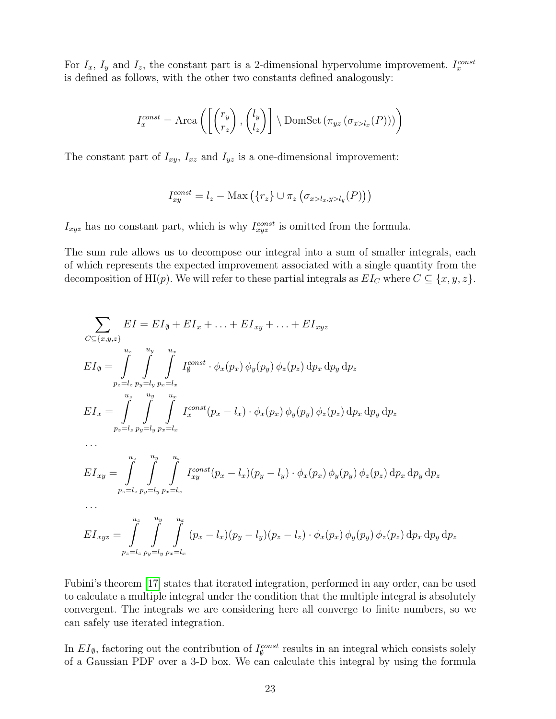For  $I_x$ ,  $I_y$  and  $I_z$ , the constant part is a 2-dimensional hypervolume improvement.  $I_x^{const}$ is defined as follows, with the other two constants defined analogously:

$$
I_x^{const} = \text{Area}\left(\left[\begin{pmatrix} r_y \\ r_z \end{pmatrix}, \begin{pmatrix} l_y \\ l_z \end{pmatrix}\right] \setminus \text{DomSet}\left(\pi_{yz}\left(\sigma_{x>l_x}(P)\right)\right)\right)
$$

The constant part of  $I_{xy}$ ,  $I_{xz}$  and  $I_{yz}$  is a one-dimensional improvement:

$$
I_{xy}^{const} = l_z - \text{Max}\left(\{r_z\} \cup \pi_z\left(\sigma_{x > l_x, y > l_y}(P)\right)\right)
$$

 $I_{xyz}$  has no constant part, which is why  $I_{xyz}^{const}$  is omitted from the formula.

The sum rule allows us to decompose our integral into a sum of smaller integrals, each of which represents the expected improvement associated with a single quantity from the decomposition of HI(p). We will refer to these partial integrals as  $EI_C$  where  $C \subseteq \{x, y, z\}$ .

$$
\sum_{C \subseteq \{x,y,z\}} EI = EI_{\emptyset} + EI_{x} + ... + EI_{xy} + ... + EI_{xyz}
$$
\n
$$
EI_{\emptyset} = \int_{p_{z}=l_{z}}^{u_{z}} \int_{p_{y}=l_{y}}^{u_{y}} \int_{p_{x}=l_{x}}^{u_{x}} I_{\emptyset}^{const} \cdot \phi_{x}(p_{x}) \phi_{y}(p_{y}) \phi_{z}(p_{z}) dp_{x} dp_{y} dp_{z}
$$
\n
$$
EI_{x} = \int_{p_{z}=l_{z}}^{u_{z}} \int_{p_{y}=l_{y}}^{u_{y}} \int_{p_{x}=l_{x}}^{p_{x}=u_{x}} I_{x}^{const}(p_{x}-l_{x}) \cdot \phi_{x}(p_{x}) \phi_{y}(p_{y}) \phi_{z}(p_{z}) dp_{x} dp_{y} dp_{z}
$$
\n
$$
\dots
$$
\n
$$
EI_{xy} = \int_{p_{z}=l_{z}}^{u_{z}} \int_{p_{y}=l_{y}}^{u_{y}} \int_{p_{x}=l_{x}}^{u_{x}} I_{xy}^{const}(p_{x}-l_{x})(p_{y}-l_{y}) \cdot \phi_{x}(p_{x}) \phi_{y}(p_{y}) \phi_{z}(p_{z}) dp_{x} dp_{y} dp_{z}
$$
\n
$$
\dots
$$
\n
$$
EI_{xyz} = \int_{q_{z}=l_{z}}^{u_{z}} \int_{q_{z}=l_{z}}^{u_{y}} \int_{q_{z}=l_{z}}^{u_{x}} (p_{x}-l_{x})(p_{y}-l_{y})(p_{z}-l_{z}) \cdot \phi_{x}(p_{x}) \phi_{y}(p_{y}) \phi_{z}(p_{z}) dp_{x} dp_{y} dp_{z}
$$

Fubini's theorem [\[17\]](#page-55-6) states that iterated integration, performed in any order, can be used to calculate a multiple integral under the condition that the multiple integral is absolutely convergent. The integrals we are considering here all converge to finite numbers, so we can safely use iterated integration.

 $p_z = l_z p_y = l_y p_x = l_x$ 

In  $EI_{\emptyset}$ , factoring out the contribution of  $I_{\emptyset}^{const}$  results in an integral which consists solely of a Gaussian PDF over a 3-D box. We can calculate this integral by using the formula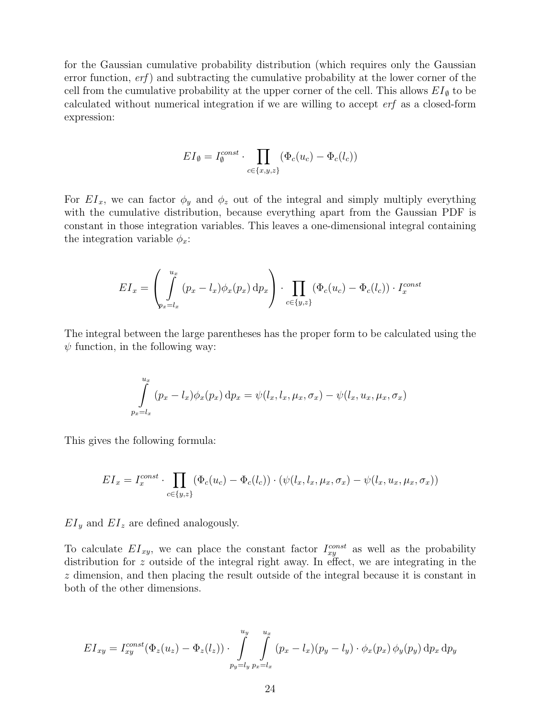for the Gaussian cumulative probability distribution (which requires only the Gaussian error function,  $erf$ ) and subtracting the cumulative probability at the lower corner of the cell from the cumulative probability at the upper corner of the cell. This allows  $EI_{\emptyset}$  to be calculated without numerical integration if we are willing to accept erf as a closed-form expression:

$$
EI_{\emptyset} = I_{\emptyset}^{const} \cdot \prod_{c \in \{x,y,z\}} (\Phi_c(u_c) - \Phi_c(l_c))
$$

For  $EI_x$ , we can factor  $\phi_y$  and  $\phi_z$  out of the integral and simply multiply everything with the cumulative distribution, because everything apart from the Gaussian PDF is constant in those integration variables. This leaves a one-dimensional integral containing the integration variable  $\phi_x$ :

$$
EI_x = \left(\int_{p_x = l_x}^{u_x} (p_x - l_x) \phi_x(p_x) dp_x\right) \cdot \prod_{c \in \{y, z\}} (\Phi_c(u_c) - \Phi_c(l_c)) \cdot I_x^{const}
$$

The integral between the large parentheses has the proper form to be calculated using the  $\psi$  function, in the following way:

$$
\int_{p_x=l_x}^{u_x} (p_x-l_x)\phi_x(p_x) dp_x = \psi(l_x,l_x,\mu_x,\sigma_x) - \psi(l_x,u_x,\mu_x,\sigma_x)
$$

This gives the following formula:

$$
EI_x = I_x^{const} \cdot \prod_{c \in \{y,z\}} (\Phi_c(u_c) - \Phi_c(l_c)) \cdot (\psi(l_x, l_x, \mu_x, \sigma_x) - \psi(l_x, u_x, \mu_x, \sigma_x))
$$

 $EI_y$  and  $EI_z$  are defined analogously.

To calculate  $EI_{xy}$ , we can place the constant factor  $I_{xy}^{const}$  as well as the probability distribution for z outside of the integral right away. In effect, we are integrating in the z dimension, and then placing the result outside of the integral because it is constant in both of the other dimensions.

$$
EI_{xy} = I_{xy}^{const}(\Phi_z(u_z) - \Phi_z(l_z)) \cdot \int_{p_y = l_y}^{u_y} \int_{p_x = l_x}^{u_x} (p_x - l_x)(p_y - l_y) \cdot \phi_x(p_x) \phi_y(p_y) dp_x dp_y
$$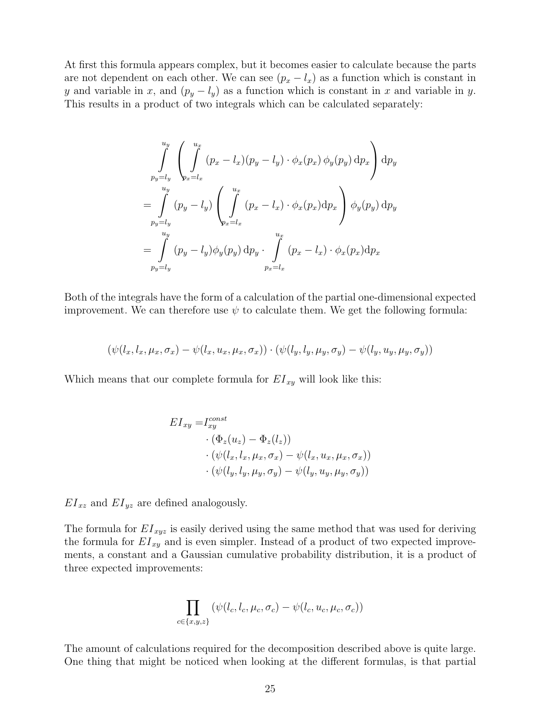At first this formula appears complex, but it becomes easier to calculate because the parts are not dependent on each other. We can see  $(p_x - l_x)$  as a function which is constant in y and variable in x, and  $(p_y - l_y)$  as a function which is constant in x and variable in y. This results in a product of two integrals which can be calculated separately:

$$
\int_{p_y=l_y}^{u_y} \left( \int_{p_x=l_x}^{u_x} (p_x - l_x)(p_y - l_y) \cdot \phi_x(p_x) \phi_y(p_y) dp_x \right) dp_y
$$
\n
$$
= \int_{p_y=l_y}^{u_y} (p_y - l_y) \left( \int_{p_x=l_x}^{u_x} (p_x - l_x) \cdot \phi_x(p_x) dp_x \right) \phi_y(p_y) dp_y
$$
\n
$$
= \int_{p_y=l_y}^{u_y} (p_y - l_y) \phi_y(p_y) dp_y \cdot \int_{p_x=l_x}^{u_x} (p_x - l_x) \cdot \phi_x(p_x) dp_x
$$

Both of the integrals have the form of a calculation of the partial one-dimensional expected improvement. We can therefore use  $\psi$  to calculate them. We get the following formula:

$$
(\psi(l_x, l_x, \mu_x, \sigma_x) - \psi(l_x, u_x, \mu_x, \sigma_x)) \cdot (\psi(l_y, l_y, \mu_y, \sigma_y) - \psi(l_y, u_y, \mu_y, \sigma_y))
$$

Which means that our complete formula for  $EI_{xy}$  will look like this:

$$
EI_{xy} = I_{xy}^{const}
$$
  
\n
$$
\cdot (\Phi_z(u_z) - \Phi_z(l_z))
$$
  
\n
$$
\cdot (\psi(l_x, l_x, \mu_x, \sigma_x) - \psi(l_x, u_x, \mu_x, \sigma_x))
$$
  
\n
$$
\cdot (\psi(l_y, l_y, \mu_y, \sigma_y) - \psi(l_y, u_y, \mu_y, \sigma_y))
$$

 $EI_{xz}$  and  $EI_{yz}$  are defined analogously.

The formula for  $EI_{xyz}$  is easily derived using the same method that was used for deriving the formula for  $EI_{xy}$  and is even simpler. Instead of a product of two expected improvements, a constant and a Gaussian cumulative probability distribution, it is a product of three expected improvements:

$$
\prod_{c \in \{x,y,z\}} (\psi(l_c,l_c,\mu_c,\sigma_c) - \psi(l_c,u_c,\mu_c,\sigma_c))
$$

The amount of calculations required for the decomposition described above is quite large. One thing that might be noticed when looking at the different formulas, is that partial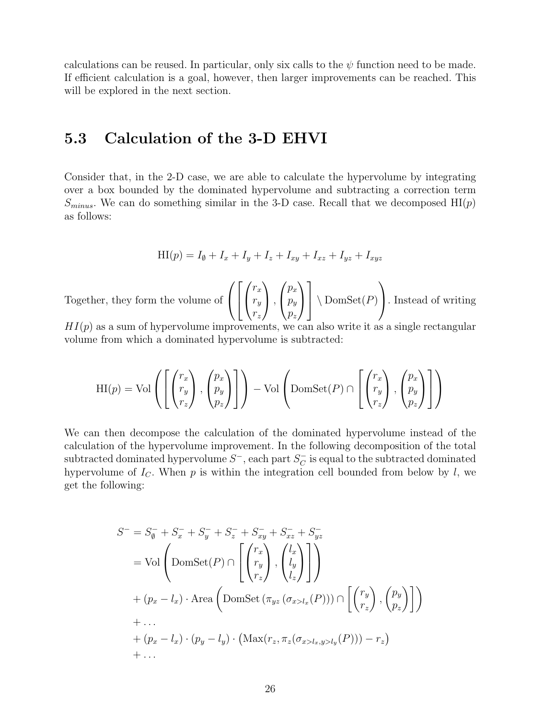calculations can be reused. In particular, only six calls to the  $\psi$  function need to be made. If efficient calculation is a goal, however, then larger improvements can be reached. This will be explored in the next section.

#### <span id="page-27-0"></span>5.3 Calculation of the 3-D EHVI

Consider that, in the 2-D case, we are able to calculate the hypervolume by integrating over a box bounded by the dominated hypervolume and subtracting a correction term  $S_{minus}$ . We can do something similar in the 3-D case. Recall that we decomposed  $HI(p)$ as follows:

$$
HI(p) = I_{\emptyset} + I_x + I_y + I_z + I_{xy} + I_{xz} + I_{yz} + I_{xyz}
$$

Together, they form the volume of  $\sqrt{ }$  $\mathcal{L}$  $\sqrt{ }$  $\overline{1}$  $\sqrt{ }$  $\overline{1}$  $r_x$  $r_y$  $r_z$  $\setminus$  $\vert$ ,  $\sqrt{ }$  $\mathcal{L}$  $p_x$  $p_y$  $p_z$  $\setminus$  $\overline{1}$ 1  $\bigwedge$  DomSet $(P)$  $\setminus$ . Instead of writing

 $HI(p)$  as a sum of hypervolume improvements, we can also write it as a single rectangular volume from which a dominated hypervolume is subtracted:

$$
\mathrm{HI}(p) = \mathrm{Vol}\left(\left[\begin{pmatrix} r_x \\ r_y \\ r_z \end{pmatrix}, \begin{pmatrix} p_x \\ p_y \\ p_z \end{pmatrix} \right] \right) - \mathrm{Vol}\left(\mathrm{DomSet}(P) \cap \left[\begin{pmatrix} r_x \\ r_y \\ r_z \end{pmatrix}, \begin{pmatrix} p_x \\ p_y \\ p_z \end{pmatrix} \right] \right)
$$

We can then decompose the calculation of the dominated hypervolume instead of the calculation of the hypervolume improvement. In the following decomposition of the total subtracted dominated hypervolume  $S^-$ , each part  $S_C^ \bar{C}$  is equal to the subtracted dominated hypervolume of  $I_c$ . When p is within the integration cell bounded from below by l, we get the following:

$$
S^{-} = S_{\emptyset}^{-} + S_{x}^{-} + S_{y}^{-} + S_{z}^{-} + S_{xy}^{-} + S_{xz}^{-} + S_{yz}^{-}
$$
  
\n
$$
= \text{Vol}\left(\text{DomSet}(P) \cap \left[\begin{pmatrix} r_{x} \\ r_{y} \\ r_{z} \end{pmatrix}, \begin{pmatrix} l_{x} \\ l_{y} \\ l_{z} \end{pmatrix}\right]\right)
$$
  
\n
$$
+ (p_{x} - l_{x}) \cdot \text{Area}\left(\text{DomSet}(\pi_{yz}(\sigma_{x>l_{x}}(P))) \cap \left[\begin{pmatrix} r_{y} \\ r_{z} \end{pmatrix}, \begin{pmatrix} p_{y} \\ p_{z} \end{pmatrix}\right]\right)
$$
  
\n
$$
+ \dots
$$
  
\n
$$
+ (p_{x} - l_{x}) \cdot (p_{y} - l_{y}) \cdot (\text{Max}(r_{z}, \pi_{z}(\sigma_{x>l_{x}, y>l_{y}}(P))) - r_{z})
$$
  
\n
$$
+ \dots
$$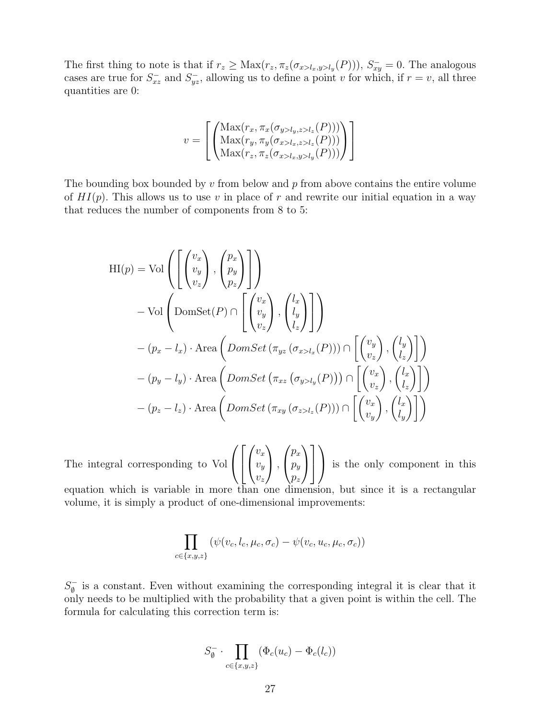The first thing to note is that if  $r_z \geq \text{Max}(r_z, \pi_z(\sigma_{x > l_x, y > l_y}(P))), S_{xy}^{-} = 0$ . The analogous cases are true for  $S_{xz}^-$  and  $S_{yz}^-$ , allowing us to define a point v for which, if  $r = v$ , all three quantities are 0:

$$
v = \left[ \begin{pmatrix} \text{Max}(r_x, \pi_x(\sigma_{y>l_y,z>l_z}(P))) \\ \text{Max}(r_y, \pi_y(\sigma_{x>l_x,z>l_z}(P))) \\ \text{Max}(r_z, \pi_z(\sigma_{x>l_x,y>l_y}(P))) \end{pmatrix} \right]
$$

The bounding box bounded by  $v$  from below and  $p$  from above contains the entire volume of  $HI(p)$ . This allows us to use v in place of r and rewrite our initial equation in a way that reduces the number of components from 8 to 5:

$$
HI(p) = Vol \left( \begin{bmatrix} v_x \\ v_y \\ v_z \end{bmatrix}, \begin{bmatrix} p_x \\ p_y \\ p_z \end{bmatrix} \right)
$$
  
\n
$$
- Vol \left( \text{DomSet}(P) \cap \begin{bmatrix} v_x \\ v_y \\ v_z \end{bmatrix}, \begin{bmatrix} l_x \\ l_y \\ l_z \end{bmatrix} \right)
$$
  
\n
$$
- (p_x - l_x) \cdot \text{Area} \left( \text{DomSet} \left( \pi_{yz} \left( \sigma_{x > l_x}(P) \right) \right) \cap \begin{bmatrix} v_y \\ v_z \end{bmatrix}, \begin{bmatrix} l_y \\ l_z \end{bmatrix} \right)
$$
  
\n
$$
- (p_y - l_y) \cdot \text{Area} \left( \text{DomSet} \left( \pi_{xz} \left( \sigma_{y > l_y}(P) \right) \right) \cap \begin{bmatrix} v_x \\ v_z \end{bmatrix}, \begin{bmatrix} l_x \\ l_z \end{bmatrix} \right)
$$
  
\n
$$
- (p_z - l_z) \cdot \text{Area} \left( \text{DomSet} \left( \pi_{xy} \left( \sigma_{z > l_z}(P) \right) \right) \cap \begin{bmatrix} v_x \\ v_y \end{bmatrix}, \begin{bmatrix} l_x \\ l_y \end{bmatrix} \right)
$$

The integral corresponding to Vol  $\sqrt{ }$  $\overline{1}$  $\sqrt{ }$  $\overline{1}$  $\sqrt{ }$  $\overline{1}$  $v_x$  $v_y$  $v_z$  $\setminus$  $\vert$ ,  $\sqrt{ }$  $\mathcal{L}$  $p_x$  $p_y$  $p_z$  $\setminus$  $\overline{1}$ 1  $\vert$  $\setminus$ is the only component in this

equation which is variable in more than one dimension, but since it is a rectangular volume, it is simply a product of one-dimensional improvements:

$$
\prod_{c \in \{x,y,z\}} (\psi(v_c, l_c, \mu_c, \sigma_c) - \psi(v_c, u_c, \mu_c, \sigma_c))
$$

 $S_{\emptyset}^ \frac{1}{\varnothing}$  is a constant. Even without examining the corresponding integral it is clear that it only needs to be multiplied with the probability that a given point is within the cell. The formula for calculating this correction term is:

$$
S_{\emptyset}^{-} \cdot \prod_{c \in \{x,y,z\}} (\Phi_c(u_c) - \Phi_c(l_c))
$$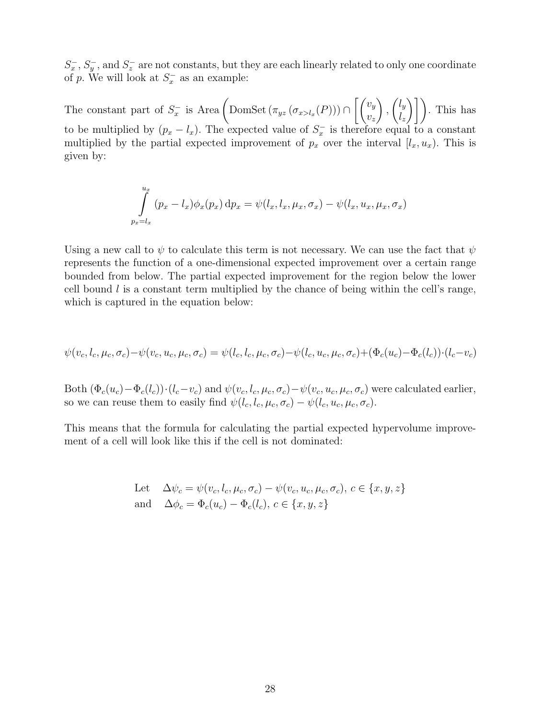$S_x^-, S_y^-,$  and  $S_z^-$  are not constants, but they are each linearly related to only one coordinate of p. We will look at  $S_x^-$  as an example:

The constant part of  $S_x^-$  is Area  $\left(\text{DomSet}(\pi_{yz}(\sigma_{x>l_x}(P)))\cap\left[\binom{v_y}{v_x}\right]\right)$  $v_z$  $\setminus$ ,  $\int$  $l_z$  $\binom{1}{k}$ . This has to be multiplied by  $(p_x - l_x)$ . The expected value of  $S_x^-$  is therefore equal to a constant multiplied by the partial expected improvement of  $p_x$  over the interval  $[l_x, u_x)$ . This is given by:

$$
\int_{p_x=l_x}^{u_x} (p_x-l_x)\phi_x(p_x) dp_x = \psi(l_x,l_x,\mu_x,\sigma_x) - \psi(l_x,u_x,\mu_x,\sigma_x)
$$

Using a new call to  $\psi$  to calculate this term is not necessary. We can use the fact that  $\psi$ represents the function of a one-dimensional expected improvement over a certain range bounded from below. The partial expected improvement for the region below the lower cell bound  $l$  is a constant term multiplied by the chance of being within the cell's range, which is captured in the equation below:

$$
\psi(v_c,l_c,\mu_c,\sigma_c)-\psi(v_c,u_c,\mu_c,\sigma_c)=\psi(l_c,l_c,\mu_c,\sigma_c)-\psi(l_c,u_c,\mu_c,\sigma_c)+(\Phi_c(u_c)-\Phi_c(l_c))\cdot (l_c-v_c)
$$

Both  $(\Phi_c(u_c)-\Phi_c(l_c))\cdot (l_c-v_c)$  and  $\psi(v_c, l_c, \mu_c, \sigma_c)-\psi(v_c, u_c, \mu_c, \sigma_c)$  were calculated earlier, so we can reuse them to easily find  $\psi(l_c, l_c, \mu_c, \sigma_c) - \psi(l_c, u_c, \mu_c, \sigma_c)$ .

This means that the formula for calculating the partial expected hypervolume improvement of a cell will look like this if the cell is not dominated:

Let 
$$
\Delta \psi_c = \psi(v_c, l_c, \mu_c, \sigma_c) - \psi(v_c, u_c, \mu_c, \sigma_c), c \in \{x, y, z\}
$$
  
and 
$$
\Delta \phi_c = \Phi_c(u_c) - \Phi_c(l_c), c \in \{x, y, z\}
$$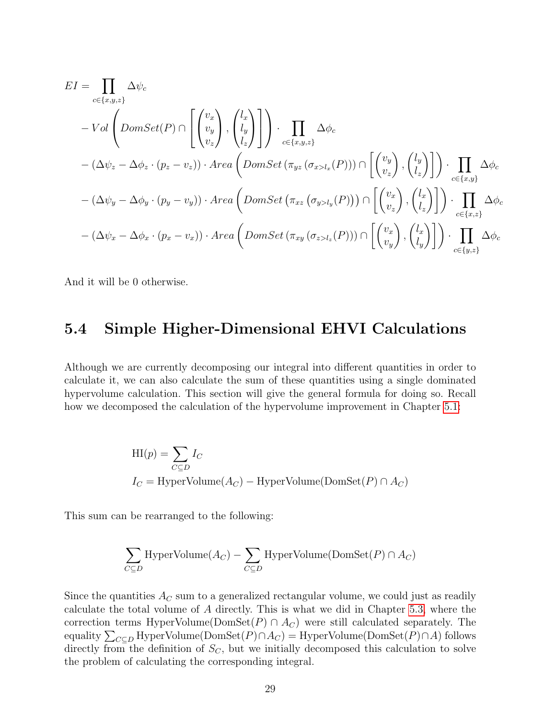$$
EI = \prod_{c \in \{x,y,z\}} \Delta \psi_c
$$
  
\n
$$
- Vol \left( DomSet(P) \cap \left[ \begin{pmatrix} v_x \\ v_y \\ v_z \end{pmatrix}, \begin{pmatrix} l_x \\ l_y \\ l_z \end{pmatrix} \right] \right) \cdot \prod_{c \in \{x,y,z\}} \Delta \phi_c
$$
  
\n
$$
- (\Delta \psi_z - \Delta \phi_z \cdot (p_z - v_z)) \cdot Area \left( DomSet (\pi_{yz} (\sigma_{xz} l_x(P))) \cap \left[ \begin{pmatrix} v_y \\ v_z \end{pmatrix}, \begin{pmatrix} l_y \\ l_z \end{pmatrix} \right] \right) \cdot \prod_{c \in \{x,y\}} \Delta \phi_c
$$
  
\n
$$
- (\Delta \psi_y - \Delta \phi_y \cdot (p_y - v_y)) \cdot Area \left( DomSet (\pi_{xz} (\sigma_{yz} l_y(P))) \cap \left[ \begin{pmatrix} v_x \\ v_z \end{pmatrix}, \begin{pmatrix} l_x \\ l_z \end{pmatrix} \right] \right) \cdot \prod_{c \in \{x,z\}} \Delta \phi_c
$$
  
\n
$$
- (\Delta \psi_x - \Delta \phi_x \cdot (p_x - v_x)) \cdot Area \left( DomSet (\pi_{xy} (\sigma_{z>l_z}(P))) \cap \left[ \begin{pmatrix} v_x \\ v_y \end{pmatrix}, \begin{pmatrix} l_x \\ l_y \end{pmatrix} \right] \right) \cdot \prod_{c \in \{y,z\}} \Delta \phi_c
$$

And it will be 0 otherwise.

#### <span id="page-30-0"></span>5.4 Simple Higher-Dimensional EHVI Calculations

Although we are currently decomposing our integral into different quantities in order to calculate it, we can also calculate the sum of these quantities using a single dominated hypervolume calculation. This section will give the general formula for doing so. Recall how we decomposed the calculation of the hypervolume improvement in Chapter [5.1:](#page-18-1)

$$
HI(p) = \sum_{C \subseteq D} I_C
$$
  

$$
I_C = HyperVolume(A_C) - HyperVolume(DomSet(P) \cap A_C)
$$

This sum can be rearranged to the following:

$$
\sum_{C \subseteq D} \text{HyperVolume}(A_C) - \sum_{C \subseteq D} \text{HyperVolume}(\text{DomSet}(P) \cap A_C)
$$

Since the quantities  $A_C$  sum to a generalized rectangular volume, we could just as readily calculate the total volume of A directly. This is what we did in Chapter [5.3,](#page-27-0) where the correction terms HyperVolume(DomSet $(P) \cap A_C$ ) were still calculated separately. The equality  $\sum_{C \subseteq D}$  HyperVolume( $\mathrm{DomSet}(P) \cap A_C$ ) = HyperVolume( $\mathrm{DomSet}(P) \cap A$ ) follows directly from the definition of  $S_C$ , but we initially decomposed this calculation to solve the problem of calculating the corresponding integral.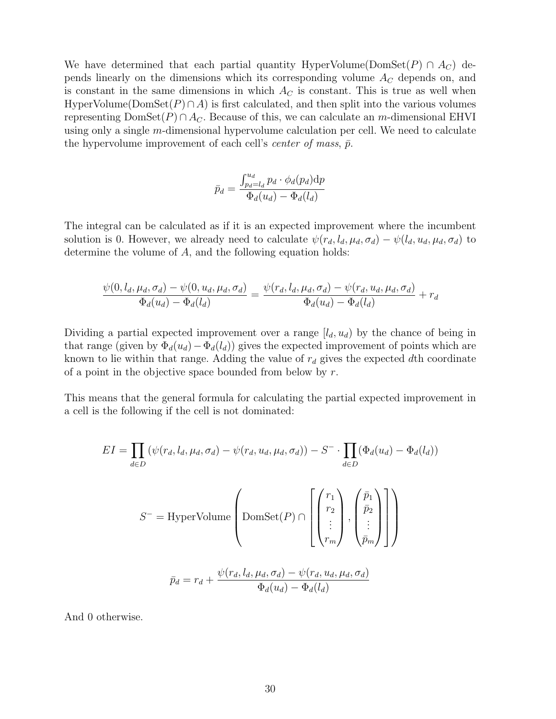We have determined that each partial quantity HyperVolume( $DomSet(P) \cap A_C$ ) depends linearly on the dimensions which its corresponding volume  $A_C$  depends on, and is constant in the same dimensions in which  $A_C$  is constant. This is true as well when HyperVolume( $DomSet(P) \cap A$ ) is first calculated, and then split into the various volumes representing  $DomSet(P) \cap A_C$ . Because of this, we can calculate an m-dimensional EHVI using only a single m-dimensional hypervolume calculation per cell. We need to calculate the hypervolume improvement of each cell's *center of mass*,  $\bar{p}$ .

$$
\bar{p}_d = \frac{\int_{p_d=l_d}^{u_d} p_d \cdot \phi_d(p_d) dp}{\Phi_d(u_d) - \Phi_d(l_d)}
$$

The integral can be calculated as if it is an expected improvement where the incumbent solution is 0. However, we already need to calculate  $\psi(r_d, l_d, \mu_d, \sigma_d) - \psi(l_d, u_d, \mu_d, \sigma_d)$  to determine the volume of A, and the following equation holds:

$$
\frac{\psi(0, l_d, \mu_d, \sigma_d) - \psi(0, u_d, \mu_d, \sigma_d)}{\Phi_d(u_d) - \Phi_d(l_d)} = \frac{\psi(r_d, l_d, \mu_d, \sigma_d) - \psi(r_d, u_d, \mu_d, \sigma_d)}{\Phi_d(u_d) - \Phi_d(l_d)} + r_d
$$

Dividing a partial expected improvement over a range  $[l_d, u_d)$  by the chance of being in that range (given by  $\Phi_d(u_d) - \Phi_d(l_d)$ ) gives the expected improvement of points which are known to lie within that range. Adding the value of  $r_d$  gives the expected dth coordinate of a point in the objective space bounded from below by  $r$ .

This means that the general formula for calculating the partial expected improvement in a cell is the following if the cell is not dominated:

$$
EI = \prod_{d \in D} (\psi(r_d, l_d, \mu_d, \sigma_d) - \psi(r_d, u_d, \mu_d, \sigma_d)) - S^{-} \cdot \prod_{d \in D} (\Phi_d(u_d) - \Phi_d(l_d))
$$
  

$$
S^{-} = \text{HyperVolume} \left( \text{DomSet}(P) \cap \left[ \begin{pmatrix} r_1 \\ r_2 \\ \vdots \\ r_m \end{pmatrix}, \begin{pmatrix} \bar{p}_1 \\ \bar{p}_2 \\ \vdots \\ \bar{p}_m \end{pmatrix} \right] \right)
$$
  

$$
\bar{p}_d = r_d + \frac{\psi(r_d, l_d, \mu_d, \sigma_d) - \psi(r_d, u_d, \mu_d, \sigma_d)}{\Phi_d(u_d) - \Phi_d(l_d)}
$$

And 0 otherwise.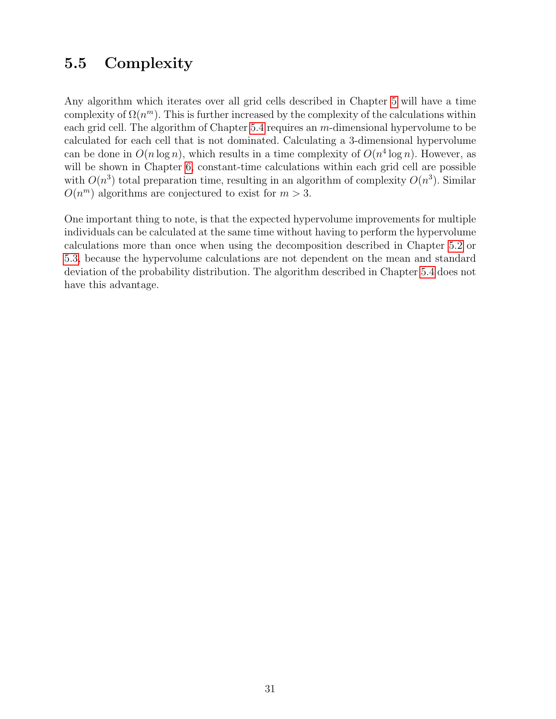#### <span id="page-32-0"></span>5.5 Complexity

Any algorithm which iterates over all grid cells described in Chapter [5](#page-18-0) will have a time complexity of  $\Omega(n^m)$ . This is further increased by the complexity of the calculations within each grid cell. The algorithm of Chapter [5.4](#page-30-0) requires an m-dimensional hypervolume to be calculated for each cell that is not dominated. Calculating a 3-dimensional hypervolume can be done in  $O(n \log n)$ , which results in a time complexity of  $O(n^4 \log n)$ . However, as will be shown in Chapter [6,](#page-33-0) constant-time calculations within each grid cell are possible with  $O(n^3)$  total preparation time, resulting in an algorithm of complexity  $O(n^3)$ . Similar  $O(n^m)$  algorithms are conjectured to exist for  $m > 3$ .

One important thing to note, is that the expected hypervolume improvements for multiple individuals can be calculated at the same time without having to perform the hypervolume calculations more than once when using the decomposition described in Chapter [5.2](#page-20-0) or [5.3,](#page-27-0) because the hypervolume calculations are not dependent on the mean and standard deviation of the probability distribution. The algorithm described in Chapter [5.4](#page-30-0) does not have this advantage.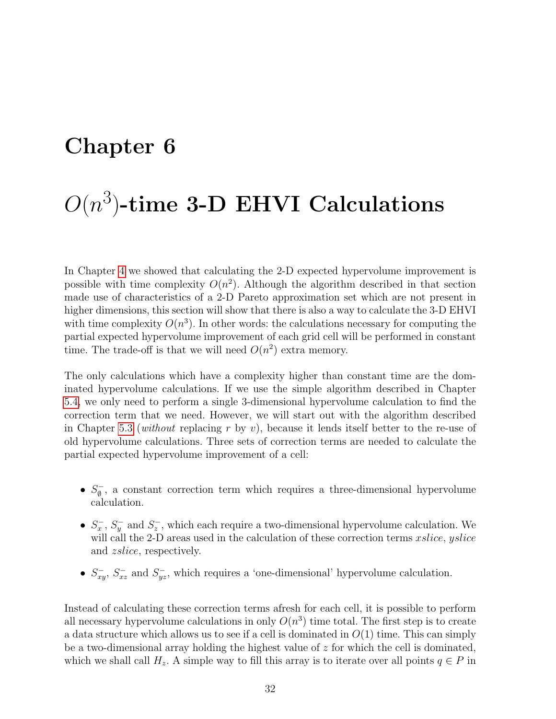### <span id="page-33-0"></span>Chapter 6

# $O(n^3)$ -time 3-D EHVI Calculations

In Chapter [4](#page-11-0) we showed that calculating the 2-D expected hypervolume improvement is possible with time complexity  $O(n^2)$ . Although the algorithm described in that section made use of characteristics of a 2-D Pareto approximation set which are not present in higher dimensions, this section will show that there is also a way to calculate the 3-D EHVI with time complexity  $O(n^3)$ . In other words: the calculations necessary for computing the partial expected hypervolume improvement of each grid cell will be performed in constant time. The trade-off is that we will need  $O(n^2)$  extra memory.

The only calculations which have a complexity higher than constant time are the dominated hypervolume calculations. If we use the simple algorithm described in Chapter [5.4,](#page-30-0) we only need to perform a single 3-dimensional hypervolume calculation to find the correction term that we need. However, we will start out with the algorithm described in Chapter [5.3](#page-27-0) (without replacing r by v), because it lends itself better to the re-use of old hypervolume calculations. Three sets of correction terms are needed to calculate the partial expected hypervolume improvement of a cell:

- $\bullet$   $S_{\emptyset}^ \bar{\mathcal{O}}$ , a constant correction term which requires a three-dimensional hypervolume calculation.
- $S_x^-, S_y^-$  and  $S_z^-$ , which each require a two-dimensional hypervolume calculation. We will call the 2-D areas used in the calculation of these correction terms *xslice*, *yslice* and zslice, respectively.
- $S_{xy}^-$ ,  $S_{xz}^-$  and  $S_{yz}^-$ , which requires a 'one-dimensional' hypervolume calculation.

Instead of calculating these correction terms afresh for each cell, it is possible to perform all necessary hypervolume calculations in only  $O(n^3)$  time total. The first step is to create a data structure which allows us to see if a cell is dominated in  $O(1)$  time. This can simply be a two-dimensional array holding the highest value of  $z$  for which the cell is dominated, which we shall call  $H_z$ . A simple way to fill this array is to iterate over all points  $q \in P$  in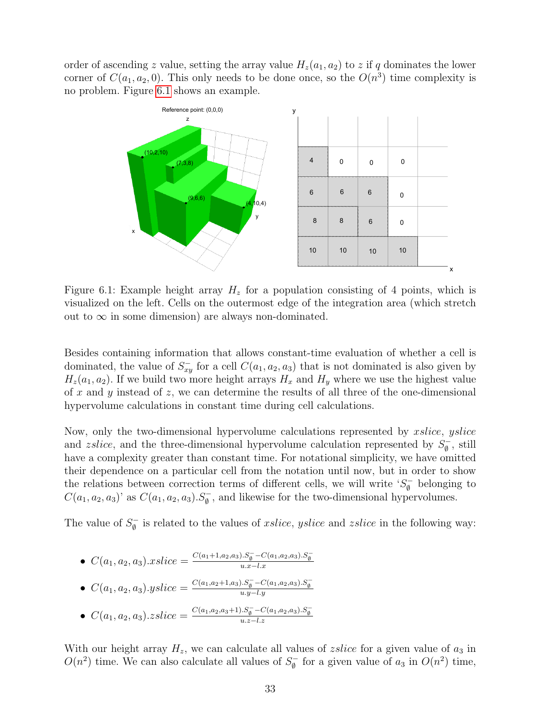order of ascending z value, setting the array value  $H_z(a_1, a_2)$  to z if q dominates the lower corner of  $C(a_1, a_2, 0)$ . This only needs to be done once, so the  $O(n^3)$  time complexity is no problem. Figure [6.1](#page-34-0) shows an example.



<span id="page-34-0"></span>Figure 6.1: Example height array  $H_z$  for a population consisting of 4 points, which is visualized on the left. Cells on the outermost edge of the integration area (which stretch out to  $\infty$  in some dimension) are always non-dominated.

Besides containing information that allows constant-time evaluation of whether a cell is dominated, the value of  $S_{xy}^-$  for a cell  $C(a_1, a_2, a_3)$  that is not dominated is also given by  $H_z(a_1, a_2)$ . If we build two more height arrays  $H_x$  and  $H_y$  where we use the highest value of x and y instead of z, we can determine the results of all three of the one-dimensional hypervolume calculations in constant time during cell calculations.

Now, only the two-dimensional hypervolume calculations represented by *xslice*, *yslice* and *zslice*, and the three-dimensional hypervolume calculation represented by  $S_{\phi}^ \overline{\emptyset}$ , still have a complexity greater than constant time. For notational simplicity, we have omitted their dependence on a particular cell from the notation until now, but in order to show the relations between correction terms of different cells, we will write  $S_{\phi}^ \int_{\emptyset}$  belonging to  $C(a_1, a_2, a_3)$ ' as  $C(a_1, a_2, a_3)$ .  $S_{\emptyset}^-$ , and likewise for the two-dimensional hypervolumes.

The value of  $S_{\phi}^ \bar{\mathcal{G}}$  is related to the values of *xslice*, *yslice* and *zslice* in the following way:

\n- \n
$$
C(a_1, a_2, a_3). x \text{ slice} = \frac{C(a_1 + 1, a_2, a_3). S_{\theta}^- - C(a_1, a_2, a_3). S_{\theta}^-}{u.x - l.x}
$$
\n
\n- \n
$$
C(a_1, a_2, a_3). y \text{slice} = \frac{C(a_1, a_2 + 1, a_3). S_{\theta}^- - C(a_1, a_2, a_3). S_{\theta}^-}{u.y - l.y}
$$
\n
\n

• 
$$
C(a_1, a_2, a_3)
$$
.*sslice* = 
$$
\frac{C(a_1, a_2, a_3+1) \cdot S_{\emptyset}^{-} - C(a_1, a_2, a_3) \cdot S_{\emptyset}^{-}}{u \cdot z - l \cdot z}
$$

With our height array  $H_z$ , we can calculate all values of *zslice* for a given value of  $a_3$  in  $O(n^2)$  time. We can also calculate all values of  $S_0^ \int_0^{\pi}$  for a given value of  $a_3$  in  $O(n^2)$  time,

 $u.y-l.y$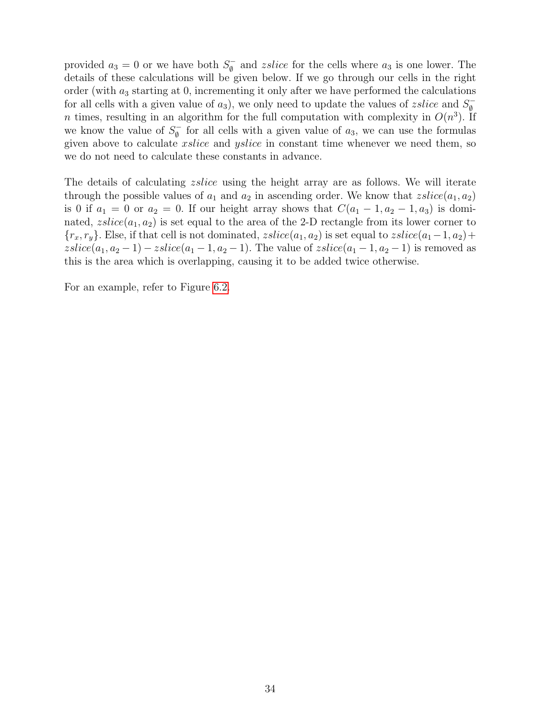provided  $a_3 = 0$  or we have both  $S_0^ \overline{\phi}$  and *zslice* for the cells where  $a_3$  is one lower. The details of these calculations will be given below. If we go through our cells in the right order (with  $a_3$  starting at 0, incrementing it only after we have performed the calculations for all cells with a given value of  $a_3$ ), we only need to update the values of *zslice* and  $S_0^-$ ∅ n times, resulting in an algorithm for the full computation with complexity in  $O(n^3)$ . If we know the value of  $S_{\phi}^{-}$  $\overline{\phi}$  for all cells with a given value of  $a_3$ , we can use the formulas given above to calculate *xslice* and *yslice* in constant time whenever we need them, so we do not need to calculate these constants in advance.

The details of calculating *zslice* using the height array are as follows. We will iterate through the possible values of  $a_1$  and  $a_2$  in ascending order. We know that  $zslice(a_1, a_2)$ is 0 if  $a_1 = 0$  or  $a_2 = 0$ . If our height array shows that  $C(a_1 - 1, a_2 - 1, a_3)$  is dominated,  $zslice(a_1, a_2)$  is set equal to the area of the 2-D rectangle from its lower corner to  ${r_x, r_y}.$  Else, if that cell is not dominated,  $zslice(a_1, a_2)$  is set equal to  $zslice(a_1-1, a_2)+$  $zslice(a_1, a_2 - 1) - zslice(a_1 - 1, a_2 - 1)$ . The value of  $zslice(a_1 - 1, a_2 - 1)$  is removed as this is the area which is overlapping, causing it to be added twice otherwise.

For an example, refer to Figure [6.2.](#page-36-0)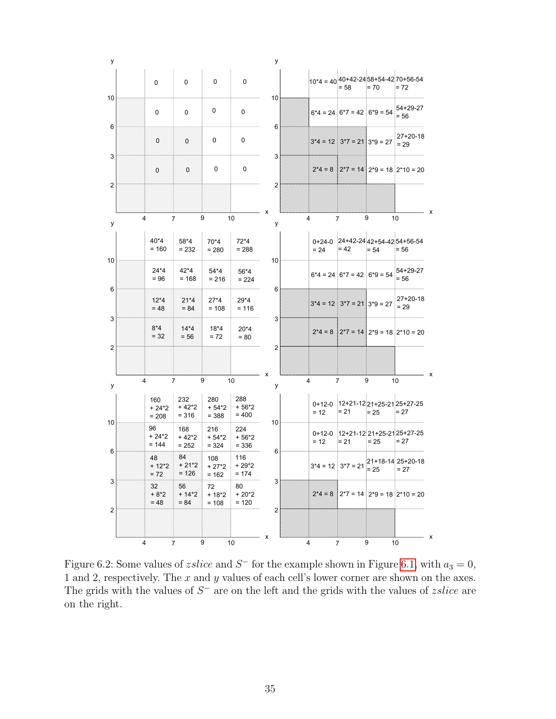

<span id="page-36-0"></span>Figure 6.2: Some values of *zslice* and  $S^-$  for the example shown in Figure [6.1,](#page-34-0) with  $a_3 = 0$ , 1 and 2, respectively. The x and y values of each cell's lower corner are shown on the axes. The grids with the values of  $S^-$  are on the left and the grids with the values of *zslice* are on the right.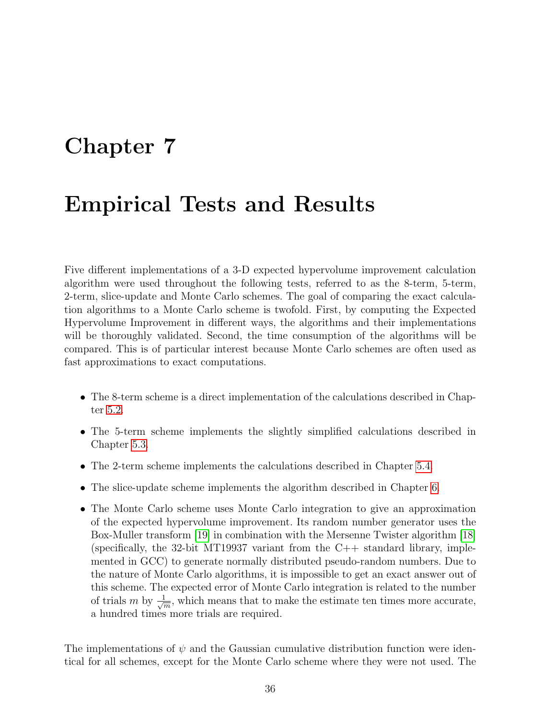### <span id="page-37-0"></span>Chapter 7

### Empirical Tests and Results

Five different implementations of a 3-D expected hypervolume improvement calculation algorithm were used throughout the following tests, referred to as the 8-term, 5-term, 2-term, slice-update and Monte Carlo schemes. The goal of comparing the exact calculation algorithms to a Monte Carlo scheme is twofold. First, by computing the Expected Hypervolume Improvement in different ways, the algorithms and their implementations will be thoroughly validated. Second, the time consumption of the algorithms will be compared. This is of particular interest because Monte Carlo schemes are often used as fast approximations to exact computations.

- The 8-term scheme is a direct implementation of the calculations described in Chapter [5.2.](#page-20-0)
- The 5-term scheme implements the slightly simplified calculations described in Chapter [5.3.](#page-27-0)
- The 2-term scheme implements the calculations described in Chapter [5.4.](#page-30-0)
- The slice-update scheme implements the algorithm described in Chapter [6.](#page-33-0)
- The Monte Carlo scheme uses Monte Carlo integration to give an approximation of the expected hypervolume improvement. Its random number generator uses the Box-Muller transform [\[19\]](#page-55-7) in combination with the Mersenne Twister algorithm [\[18\]](#page-55-8) (specifically, the 32-bit MT19937 variant from the  $C_{++}$  standard library, implemented in GCC) to generate normally distributed pseudo-random numbers. Due to the nature of Monte Carlo algorithms, it is impossible to get an exact answer out of this scheme. The expected error of Monte Carlo integration is related to the number of trials m by  $\frac{1}{\sqrt{2}}$  $\frac{1}{m}$ , which means that to make the estimate ten times more accurate, a hundred times more trials are required.

The implementations of  $\psi$  and the Gaussian cumulative distribution function were identical for all schemes, except for the Monte Carlo scheme where they were not used. The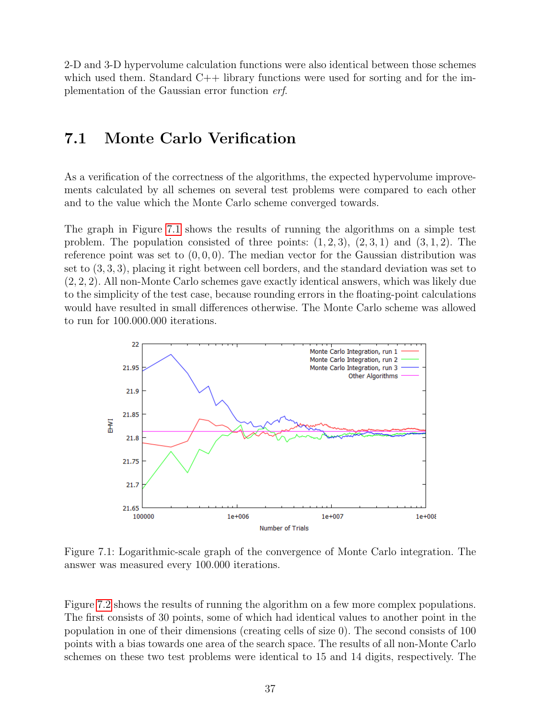2-D and 3-D hypervolume calculation functions were also identical between those schemes which used them. Standard  $C_{++}$  library functions were used for sorting and for the implementation of the Gaussian error function erf.

#### <span id="page-38-0"></span>7.1 Monte Carlo Verification

As a verification of the correctness of the algorithms, the expected hypervolume improvements calculated by all schemes on several test problems were compared to each other and to the value which the Monte Carlo scheme converged towards.

The graph in Figure [7.1](#page-38-1) shows the results of running the algorithms on a simple test problem. The population consisted of three points:  $(1, 2, 3)$ ,  $(2, 3, 1)$  and  $(3, 1, 2)$ . The reference point was set to  $(0, 0, 0)$ . The median vector for the Gaussian distribution was set to (3, 3, 3), placing it right between cell borders, and the standard deviation was set to (2, 2, 2). All non-Monte Carlo schemes gave exactly identical answers, which was likely due to the simplicity of the test case, because rounding errors in the floating-point calculations would have resulted in small differences otherwise. The Monte Carlo scheme was allowed to run for 100.000.000 iterations.



<span id="page-38-1"></span>Figure 7.1: Logarithmic-scale graph of the convergence of Monte Carlo integration. The answer was measured every 100.000 iterations.

Figure [7.2](#page-39-0) shows the results of running the algorithm on a few more complex populations. The first consists of 30 points, some of which had identical values to another point in the population in one of their dimensions (creating cells of size 0). The second consists of 100 points with a bias towards one area of the search space. The results of all non-Monte Carlo schemes on these two test problems were identical to 15 and 14 digits, respectively. The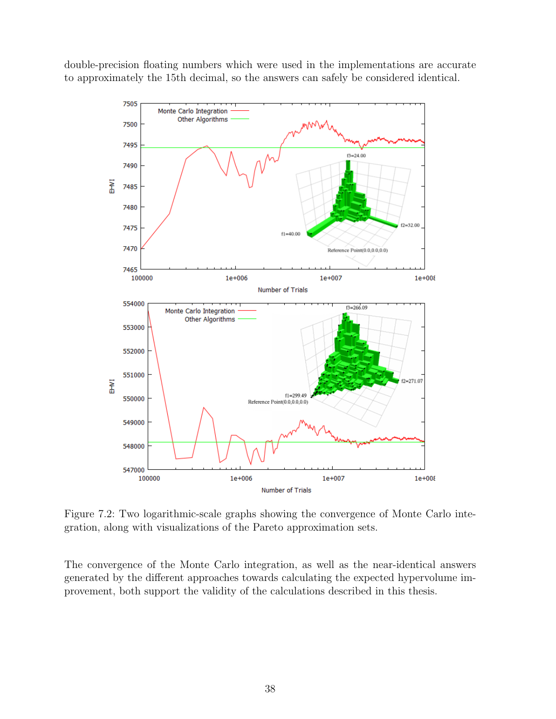double-precision floating numbers which were used in the implementations are accurate to approximately the 15th decimal, so the answers can safely be considered identical.



<span id="page-39-0"></span>Figure 7.2: Two logarithmic-scale graphs showing the convergence of Monte Carlo integration, along with visualizations of the Pareto approximation sets.

The convergence of the Monte Carlo integration, as well as the near-identical answers generated by the different approaches towards calculating the expected hypervolume improvement, both support the validity of the calculations described in this thesis.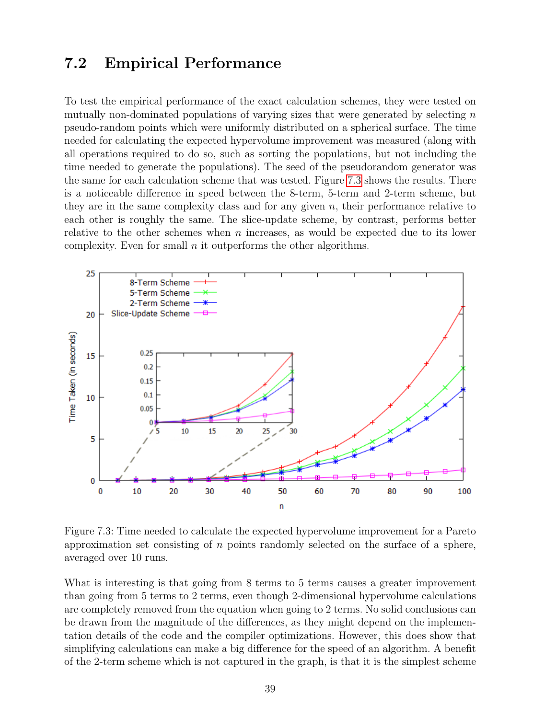#### <span id="page-40-0"></span>7.2 Empirical Performance

To test the empirical performance of the exact calculation schemes, they were tested on mutually non-dominated populations of varying sizes that were generated by selecting  $n$ pseudo-random points which were uniformly distributed on a spherical surface. The time needed for calculating the expected hypervolume improvement was measured (along with all operations required to do so, such as sorting the populations, but not including the time needed to generate the populations). The seed of the pseudorandom generator was the same for each calculation scheme that was tested. Figure [7.3](#page-40-1) shows the results. There is a noticeable difference in speed between the 8-term, 5-term and 2-term scheme, but they are in the same complexity class and for any given  $n$ , their performance relative to each other is roughly the same. The slice-update scheme, by contrast, performs better relative to the other schemes when n increases, as would be expected due to its lower complexity. Even for small  $n$  it outperforms the other algorithms.



<span id="page-40-1"></span>Figure 7.3: Time needed to calculate the expected hypervolume improvement for a Pareto approximation set consisting of  $n$  points randomly selected on the surface of a sphere, averaged over 10 runs.

What is interesting is that going from 8 terms to 5 terms causes a greater improvement than going from 5 terms to 2 terms, even though 2-dimensional hypervolume calculations are completely removed from the equation when going to 2 terms. No solid conclusions can be drawn from the magnitude of the differences, as they might depend on the implementation details of the code and the compiler optimizations. However, this does show that simplifying calculations can make a big difference for the speed of an algorithm. A benefit of the 2-term scheme which is not captured in the graph, is that it is the simplest scheme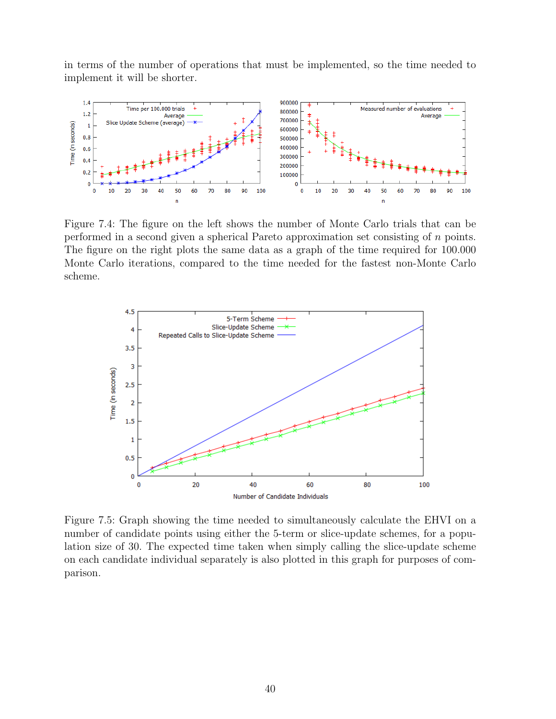in terms of the number of operations that must be implemented, so the time needed to implement it will be shorter.



<span id="page-41-0"></span>Figure 7.4: The figure on the left shows the number of Monte Carlo trials that can be performed in a second given a spherical Pareto approximation set consisting of n points. The figure on the right plots the same data as a graph of the time required for 100.000 Monte Carlo iterations, compared to the time needed for the fastest non-Monte Carlo scheme.



<span id="page-41-1"></span>Figure 7.5: Graph showing the time needed to simultaneously calculate the EHVI on a number of candidate points using either the 5-term or slice-update schemes, for a population size of 30. The expected time taken when simply calling the slice-update scheme on each candidate individual separately is also plotted in this graph for purposes of comparison.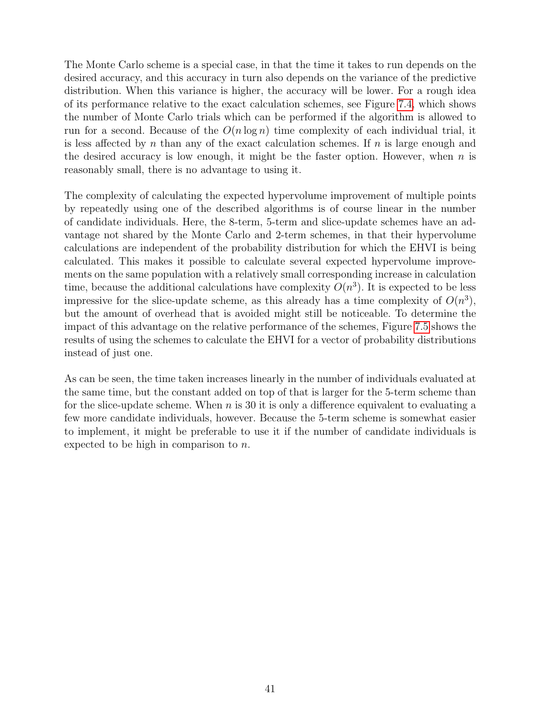The Monte Carlo scheme is a special case, in that the time it takes to run depends on the desired accuracy, and this accuracy in turn also depends on the variance of the predictive distribution. When this variance is higher, the accuracy will be lower. For a rough idea of its performance relative to the exact calculation schemes, see Figure [7.4,](#page-41-0) which shows the number of Monte Carlo trials which can be performed if the algorithm is allowed to run for a second. Because of the  $O(n \log n)$  time complexity of each individual trial, it is less affected by n than any of the exact calculation schemes. If  $n$  is large enough and the desired accuracy is low enough, it might be the faster option. However, when  $n$  is reasonably small, there is no advantage to using it.

The complexity of calculating the expected hypervolume improvement of multiple points by repeatedly using one of the described algorithms is of course linear in the number of candidate individuals. Here, the 8-term, 5-term and slice-update schemes have an advantage not shared by the Monte Carlo and 2-term schemes, in that their hypervolume calculations are independent of the probability distribution for which the EHVI is being calculated. This makes it possible to calculate several expected hypervolume improvements on the same population with a relatively small corresponding increase in calculation time, because the additional calculations have complexity  $O(n^3)$ . It is expected to be less impressive for the slice-update scheme, as this already has a time complexity of  $O(n^3)$ , but the amount of overhead that is avoided might still be noticeable. To determine the impact of this advantage on the relative performance of the schemes, Figure [7.5](#page-41-1) shows the results of using the schemes to calculate the EHVI for a vector of probability distributions instead of just one.

As can be seen, the time taken increases linearly in the number of individuals evaluated at the same time, but the constant added on top of that is larger for the 5-term scheme than for the slice-update scheme. When  $n$  is 30 it is only a difference equivalent to evaluating a few more candidate individuals, however. Because the 5-term scheme is somewhat easier to implement, it might be preferable to use it if the number of candidate individuals is expected to be high in comparison to  $n$ .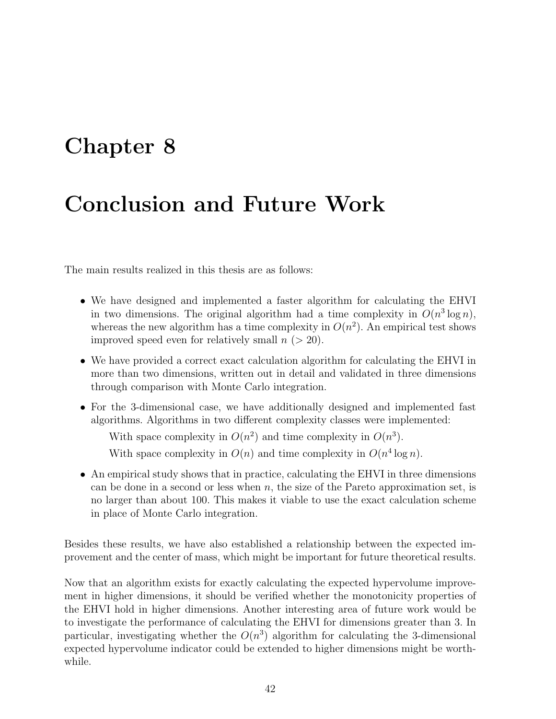### <span id="page-43-0"></span>Chapter 8

### Conclusion and Future Work

The main results realized in this thesis are as follows:

- We have designed and implemented a faster algorithm for calculating the EHVI in two dimensions. The original algorithm had a time complexity in  $O(n^3 \log n)$ , whereas the new algorithm has a time complexity in  $O(n^2)$ . An empirical test shows improved speed even for relatively small  $n (> 20)$ .
- We have provided a correct exact calculation algorithm for calculating the EHVI in more than two dimensions, written out in detail and validated in three dimensions through comparison with Monte Carlo integration.
- For the 3-dimensional case, we have additionally designed and implemented fast algorithms. Algorithms in two different complexity classes were implemented:

With space complexity in  $O(n^2)$  and time complexity in  $O(n^3)$ .

With space complexity in  $O(n)$  and time complexity in  $O(n^4 \log n)$ .

• An empirical study shows that in practice, calculating the EHVI in three dimensions can be done in a second or less when  $n$ , the size of the Pareto approximation set, is no larger than about 100. This makes it viable to use the exact calculation scheme in place of Monte Carlo integration.

Besides these results, we have also established a relationship between the expected improvement and the center of mass, which might be important for future theoretical results.

Now that an algorithm exists for exactly calculating the expected hypervolume improvement in higher dimensions, it should be verified whether the monotonicity properties of the EHVI hold in higher dimensions. Another interesting area of future work would be to investigate the performance of calculating the EHVI for dimensions greater than 3. In particular, investigating whether the  $O(n^3)$  algorithm for calculating the 3-dimensional expected hypervolume indicator could be extended to higher dimensions might be worthwhile.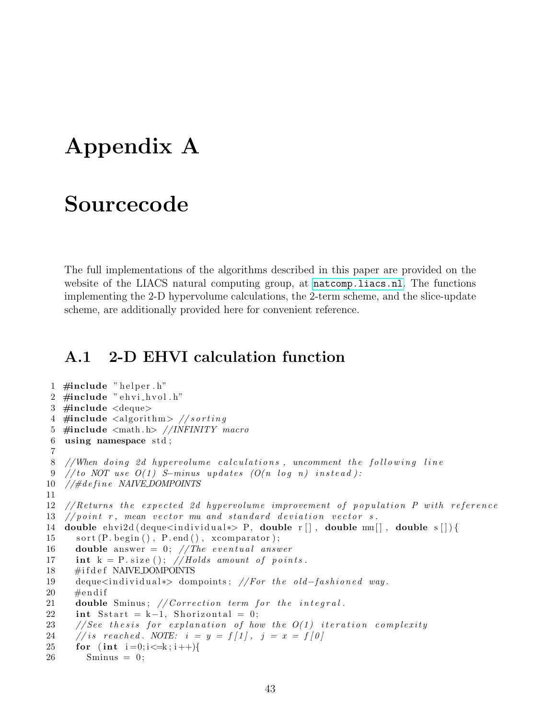### <span id="page-44-0"></span>Appendix A

#### Sourcecode

The full implementations of the algorithms described in this paper are provided on the website of the LIACS natural computing group, at <natcomp.liacs.nl>. The functions implementing the 2-D hypervolume calculations, the 2-term scheme, and the slice-update scheme, are additionally provided here for convenient reference.

#### <span id="page-44-1"></span>A.1 2-D EHVI calculation function

```
1 \#include " helper . h"
2 #include " ehvi_hvol.h"
3 \#include <deque>
4 #include \langle algorithm> //s orting
5 #include <math . h> //INFINITY macro
6 using namespace std;
7
8 //When doing 2d hypervolume calculations, uncomment the following line
9 //to NOT use O(1) S-minus updates (O(n \log n) instead):
10 // \# define NAIVE_DOMPOINTS
11
12 // Returns the expected 2d hypervolume improvement of population P with reference
13 // point r, mean vector mu and standard deviation vector s.
14 double ehvi 2d ( deque <in dividual *> P, double r [ ], double mu[ ], double s [ ] ) {
15 sort (P.\text{begin}(), P.\text{end}(), xcompact\text{or});16 double answer = 0; // The eventual answer17 int k = P. size (); //Holds amount of points.
18 #ifdef NAIVE DOMPOINTS
19 deque<individual *> dompoints; //For the old-fashioned way.
20 \qquad \text{\#endif}21 double Sminus; // Correction term for the integral.22 int Sstart = k-1, Shorizontal = 0;
23 // See the sis for explanation of how the O(1) iteration complexity
24 // is reached. NOTE: i = y = f[1], j = x = f[0]25 for (int i=0; i \le k; i++){
26 Sminus = 0;
```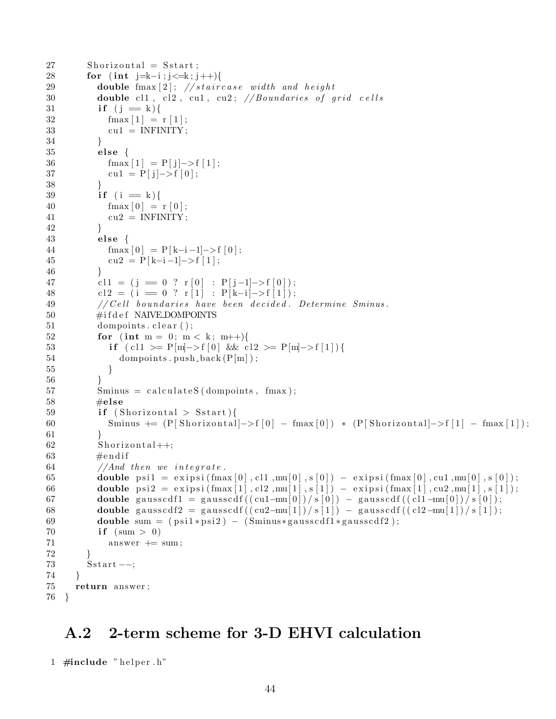```
27 Shorizontal = Sstart;
28 for (int j=k-i ; j \le k; j++){
29 double {\rm fmax}[2]; //staircase width and height
30 double cl1, cl2, cu1, cu2; //Boundaries of grid cells
31 if (j = k){
32 \text{fmax}[1] = r[1];33 \quad \text{cu1} = \text{INFINITE};34 }
35 else {
36 fmax [1] = P[j] \rightarrow f[1];
37 cu1 = P[j] \rightarrow f[0];
38 }
39 if (i = k){
40 \text{fmax}[0] = r[0];41 cu2 = INFINITY;
42 }
43 else {
44 \text{fmax}[0] = P[k-i-1] \rightarrow f[0];45 cu2 = P[k-i -1]->f [1];
46 }
47 c l 1 = ( j = 0 ? r [0 ] : P[j-1|->f [0]);
48 c l 2 = ( i = 0 ? r [1] : P[k-i]->f [1]);
49 // Cell boundaries have been decided. Determine Sminus.
50 #ifdef NAIVE_DOMPOINTS
51 dompoints . clear ();
52 for (int m = 0; m < k; m++){
53 if (cl \geq P[m] \rightarrow f[0] & cl2 \geq P[m] \rightarrow f[1]54 dompoints . push \text{back}(P[m]);
55 }
56 }
57 Sminus = calculateS (dompoints, fmax);
58 \#else
59 if (Shorizontal > Sstart){
60 Sminus += (P[Shorizontal] \rightarrow f[0] - f[0]) * (P[Shorizontal] \rightarrow f[1] - f[0]);
61 }
62 Shorizontal++;
63 \#endif
64 //And then we integrate.
65 double psi 1 = exipsi (fmax [0], cl1, mu[0], s[0]) – exipsi (fmax [0], cu1, mu[0], s[0]);
66 double psi = \exp\{ \sin \{ \frac{1}{3}, \text{cl2}, \text{mu}[1], s[1] \} - \exp\{ \frac{1}{3} \tan \{ 1}, \text{cl2}, \text{mu}[1], s[1] \}67 double gausscdf1 = gausscdf(((\text{cu1-mu}[0])/s[0]) - gausscdf(((\text{cl1-mu}[0])/s[0]);
68 double gausscdf2 = gausscdf((\text{cu2-mu[1]})/\text{s[1]}) - gausscdf((\text{cl2-mu[1]})/\text{s[1]});
69 double sum = (psi1 *psi2) - (Sminus*gausscdf1 * gausscdf2);70 if (\text{sum} > 0)71 answer += sum;
72 }
73 Sstart --;74 }
75 return answer ;
76 }
```
#### <span id="page-45-0"></span>A.2 2-term scheme for 3-D EHVI calculation

```
1 \#include " helper . h"
```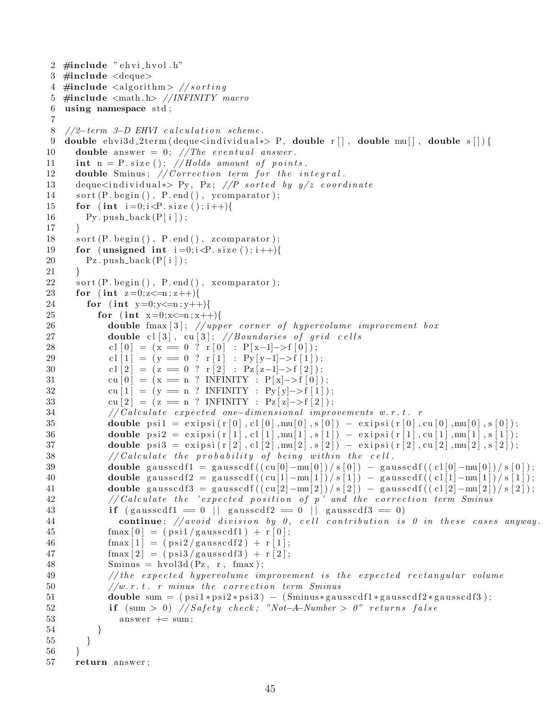```
2 #include " ehvi_hvol.h"
3 \#include <deque>
4 #include \langle algorithm> // sorting5 \#include \langle math.h \rangle //INFINITY macro
6 using namespace std;
7
8 //2-term 3-D EHVI calculation scheme.
9 double ehvi 3d 2 term ( deque \langle in dividual \ast P, double r | \cdot | , double mu| \cdot | , double s | \cdot | ) {
10 double answer = 0; // The eventual answer.
11 int n = P. size (); //Holds amount of points.
12 double Sminus; // Correction term for the integral.
13 deque<individual *> Py, Pz; //P sorted by y/z coordinate
14 sort (P.\text{begin}(), P.\text{end}(), ycomparator);
15 for (int i = 0; i < P size (); i + \frac{1}{3}16 Py. push \text{back}(P[i]);
17 }
18 sort (P.\text{begin}(), P.\text{end}(), zcomparator);19 for (unsigned int i=0; i\le P. size (); i++){
20 \qquad \qquad Pz. push_back (P[i]);
21 }
22 sort (P.\text{begin}(), P.\text{end}(), xcompact);23 for (int z=0; z\leq n; z++)24 for (int y=0; y \le n; y++){
25 for (int x=0; x\leq n; x++)26 double fmax [3]; //upper corner of hypervolume improvement box
27 double cl \lceil 3 \rceil, cu \lceil 3 \rceil; // Boundaries of grid cells
28 c l [0] = (x == 0 ? r [0] : P[x-1] \rightarrow f[0]);
29 cl [1] = (y = 0 ? r [1] : Py[y-1] \rightarrow f[1]);30 c l \begin{bmatrix} 2 \end{bmatrix} = (z = 0 ? \rvert 2 \rvert : \rvert z \rvert z-1 \rvert > f \rvert 2 \rvert);31 cu [0] = (x == n ? INTINTY : P[x] \rightarrow f[0]);32 cu [1] = (y == n ? INTINITY : Py[y] \rightarrow f[1]);
33 cu [2] = (z = n ? INTINITY : Pz[z] \rightarrow f[2]);34 // Calculate expected one−dimensional improvements w.r.t. r
35 double psi = \exp\{r[0], c1[0], m\infty[0], s[0]\} - \exp\{r[0], c\infty[0], m\infty[0], s[0]\};36 double psi = \exp\{r[1], cl[1], mu[1], s[1]\} – \exp\{r[1], cu[1], mu[1], s[1]\};37 double psi = \exp\{i \frac{r[2], cl[2], mu[2], s[2]}\} - \exp\{i \frac{r[2], cu[2], mu[2], s[2]}\}38 // Calculate the probability of being within the cell.
39 double gausscdf1 = gausscdf((\text{cu}[0]-\text{mu}[0])/\text{s}[0]) - \text{gausscdf}((\text{cl}[0]-\text{mu}[0])/\text{s}[0]);40 double gausscdf2 = gausscdf((\left(\frac{\text{cu}[1]-\text{mu}[1])}{s[1]}\right) = gausscdf((\left(\frac{\text{c}[1]-\text{mu}[1])}{s[1]}\right); [1]);
41 double gausscdf3 = gausscdf((\left(\frac{\text{cu}[2]-\text{mu}[2])}{s[2]} - gausscdf((\frac{\text{c1}[2]-\text{mu}[2])}{s[2]};
42 // Calculate the 'expected position of p' and the correction term Sminus
43 if (gaussed f 1 = 0 || gaussed f 2 = 0 || gaussed f 3 = 0)
44 continue; // avoid\ division\ by\ 0\,, cell contribution is 0 in these cases anyway.
45 \text{fmax}[0] = (\text{psi}/\text{gausscdf1}) + r[0];46 \text{fmax}[1] = (\text{psi}/\text{gausscdf2}) + r[1];47 \text{fmax}[2] = (\text{psi} 3 / \text{gausscdf} 3) + \text{r}[2];48 Sminus = hvol3d(Pz, r, fmax);
49 // the expected hypervolume improvement is the expected rectangular volume
50 //w.r.t. r minus the correction term Sminus
51 double sum = (psi *psi *psi * j = (Sminus*gausscdf1*gausscdf2*gausscdf3);
52 if \text{(sum } > 0) //Safety check; "Not-A-Number > 0" returns false
53 answer += sum;
54 }
55 }
56 }
57 return answer ;
```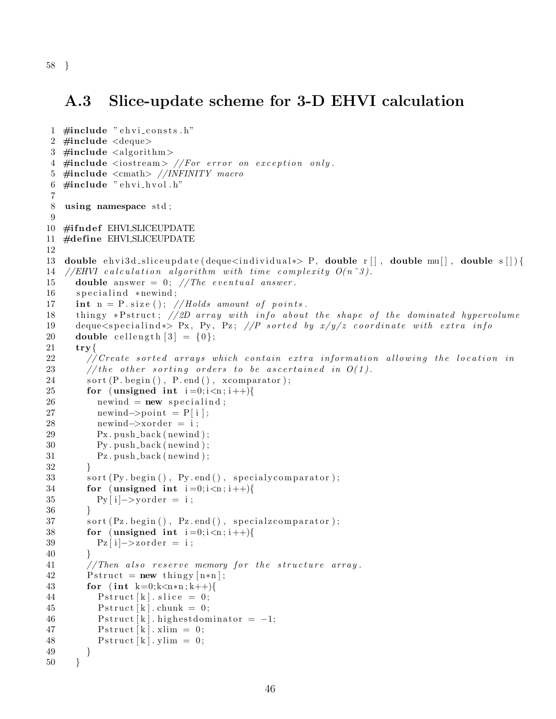#### 58 }

#### <span id="page-47-0"></span>A.3 Slice-update scheme for 3-D EHVI calculation

```
1 \#include " ehvi_consts.h"
2 \#include <deque>
3 \#include \leqslant algorithm>4 \#include clude \ltiostream> //For error on exception only.
5 #include <cmath> //INFINITY macro
6 \#include " ehvi_hvol.h"
7
8 using namespace std;
9
10 #ifndef EHVLSLICEUPDATE
11 #define EHVLSLICEUPDATE
12
13 double ehvi 3d_sliceupdate (deque in dividual *> P, double r [ ], double mu[ ], double s [ ] } {
14 //EHVI calculation algorithm with time complexity O(n^3).
15 double answer = 0; // The eventual answer.
16 specialind *newind;
17 int n = P. size (); //Holds amount of points.
18 thingy *P struct; //2D array with info about the shape of the dominated hypervolume
19 deque<s pecialind *> Px, Py, Pz; //P sorted by x/y/z coordinate with extra info
20 double cellength [3] = \{0\};21 \text{try}\lbrace22 // Create sorted arrays which contain extra information allowing the location in
23 // the other sorting orders to be ascertained in O(1).
24 sort (P. begin (), P. end (), xcomparator );
25 for (unsigned int i=0; i \le n; i++){
26 newind = new specialind;
27 newind\rightarrowpoint = P[i];
28 newind\rightarrowxorder = i;
29 Px. push_back (newind);
30 Py. push_back (newind);
31 Pz . push back ( newind ) ;
32 }
33 sort (Py. begin (), Py. end (), specialy comparator);
34 for (unsigned int i=0; i \le n; i++){
35 Py [ i ] - > y order = i;
36 }
37 sort (Pz. begin (), Pz. end (), special zcomparator);
38 for (unsigned int i=0; i \le n; i++){
39 Pz [ i ] \rightarrow zorder = i;
40 }
41 //Then also reserve memory for the structure array.
42 P struct = new thingy [n*n];
43 for (int k=0;k<n*n;k++){
44 Pstruct [k]. slice = 0;
45 Pstruct [k]. chunk = 0;
46 Pstruct [k]. highest dominator = -1;
47 Pstruct [k ]. x \lim = 0;
48 Pstruct [k ]. ylim = 0;
49 }
50 }
```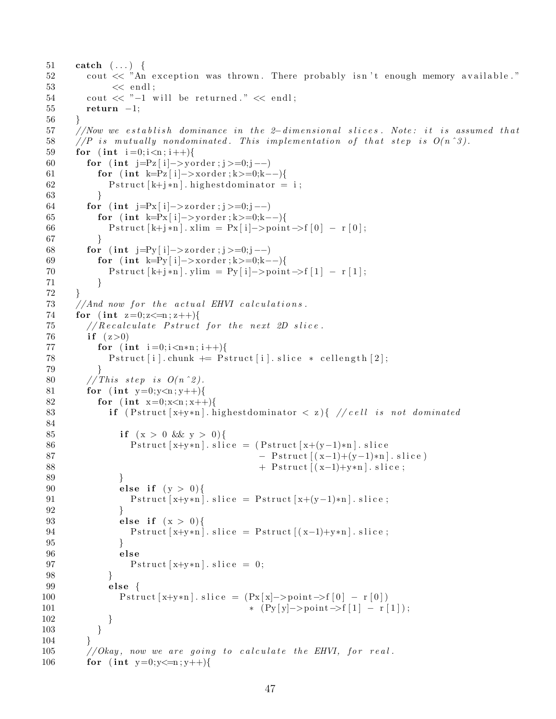```
51 catch (...) {
52 cout \ll "An exception was thrown. There probably isn't enough memory available."
53 \leq \text{endl};
54 cout \ll "-1 will be returned." \ll endl;
55 return −1;
56 }
57 //Now we establish dominance in the 2-dimensional slices. Note: it is assumed that
58 //P is mutually nondominated. This implementation of that step is O(n^3).
59 for (int i = 0; i < n; i++){
60 for (int \ j = Pz[i] \rightarrow y \, order; j >=0; j \rightarrow -)61 for ( int k=Pz [ i ]−>x order ; k >=0; k--){
62 Pstruct [k+j*n]. highest dominator = i;
63 }
64 for ( int j=Px [ i ]−>z order ; j >=0; j --)
65 for ( int k=Px [ i ]−>y order ; k >=0; k--){
66 P struct [k+j*n]. xlim = Px [i] ->point ->f [0] - r [0];
67 }
68 for (int \ j = Py[i] \rightarrow z \, order; j \rightarrow = 0; j \rightarrow -)69 for ( int k=Py [ i ]−>x order ; k >=0; k--){
70 P struct [k+j*n]. ylim = Py [i] ->point ->f [1] - r [1];
71 }
72 }
73 //And now for the actual EHVI calculations.
74 for (int z=0; z\leq n; z++){
75 // Recalculate Pstruct for the next 2D slice.
76 if (z>0)77 for (int i=0; i < n*n; i++){
78 Pstruct [i]. chunk += Pstruct [i]. slice * cellength [2];
79 }
80 // This step is O(n^2).
81 for (int y=0;y<n;y++){
82 for (int x=0; x\leq n; x++)83 if (Pstruct[x+y*n]. highest dominator \langle z \rangle \{ // cell is not dominated
84
85 if (x > 0 \&x y > 0)86 P struct [x+y*n]. slice = (Pstruct[x+(y-1)*n]. slice
87 − Pstruct [(x-1)+(y-1)*n]. slice
88 + Pstruct [(x-1)+y*n]. slice;
89 }
90 else if (y > 0){
91 P struct [x+y*n]. slice = P struct [x+(y-1)*n]. slice;
92 }
93 else if (x > 0){
94 P struct [x+y*n]. slice = P struct [(x-1)+y*n]. slice;
95 }
96 else
97 Pstruct [x+y*n]. slice = 0;
98 }
99 else {
100 P struct [x+y*n]. slice = (Px[x]-\text{point} \rightarrow f[0] - r[0])101 ∗ (Py [ y]−>p oin t−>f [ 1 ] − r [ 1 ] ) ;
102 }
103 }
104 }
105 //Okay, now we are going to calculate the EHVI, for real.
106 for (int y=0; y \leq n; y++){
```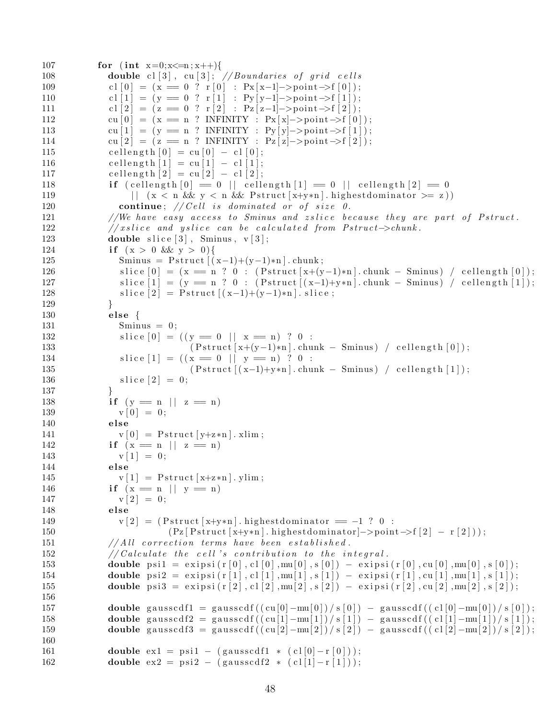```
107 for (int x=0; x\leq n; x++)108 double cl [3], cu [3]; // Boundaries of grid cells109 c l [0] = (x = 0 ? r [0] : Px[x-1]->point \rightarrow f[0]);
110 c l \begin{bmatrix} 1 \end{bmatrix} = (y == 0 ? r | 1] : Py[y-1]->point \rightarrow f[1];
111 c l \begin{bmatrix} 2 \end{bmatrix} = (z = 0 ? \rvert 2] : \begin{bmatrix} Pz \end{bmatrix} = \begin{bmatrix} 2 \end{bmatrix};
112 cu [0] = (x == n ? INFINITE Y : Px[x]->point->f[0]);113 cu [1] = (y == n ? INFINITE Y : Py[y]->point \rightarrow f[1]);114 cu [2] = (z = n ? \text{ INFINITY} : \text{Pz}[z] \text{->point} \rightarrow f[2]);
115 cellength [0] = cu [0] - cl [0];116 cellength [1] = cu [1] - cl [1];117 cellength [2] = cu [2] - cl [2];118 if \text{(cellength }[0] = 0 \mid \text{cellength }[1] = 0 \mid \text{cellength }[2] = 0119 \vert \vert (x \leq n \&x \leq x \&x \leq n \&x \quad \text{Pstruct } [x+y*n]. highest dominator \vert x \vert = z \vert)
120 continue; // Cell is dominated or of size 0.121 //We have easy access to Sminus and zslice because they are part of Pstruct.
122 // xslice and yslice can be calculated from Pstruct\rightarrowchunk.
123 double slice [3], Sminus, v[3];
124 if (x > 0 \&x y > 0){
125 Sminus = Pstruct [(x-1)+(y-1)*n]. chunk;
126 slice [0] = (x == n ? 0 : (Pstruct[x+(y-1)*n].chunk - Sminus) / celllength[0]);127 slice \begin{bmatrix} 1 \end{bmatrix} = (\mathbf{y} = \mathbf{n} ? \mathbf{0} : (\text{Pstruct}[(\mathbf{x}-1)+\mathbf{y}*\mathbf{n}].\text{chunk} - \text{Sminus}) / \text{cellength}[1]);128 s lice [2] = P struct [(x-1)+(y-1)*n]. slice;
129 }
130 else {
131 Sminus = 0;
132 slice [0] = ((y = 0 || x = n) ? 0 :133 (Pstruct[x+(y-1)*n].chunk - Sminus) / cellength[0]);134 slice [1] = ((x = 0 || y = n) ? 0 :135 ( Pstruct [(x-1)+y*n] . chunk – Sminus ) / cellength [1] ;
136 \text{slice } [2] = 0;137 }
138 if (y = n || z = n)139 v [0] = 0;140 else
141 v[0] = Pstruct [y+z*n]. xlim;142 if (x = n || z = n)143 v[1] = 0;144 else
145 v[1] = Pstruct[x+z*n]. ylim;146 if (x = n || y = n)147 v [2] = 0;148 else
149 v | 2 | = ( Pstruct x+y*n . highest dominator == -1 ? 0 :
150 (Pz [ P struct [ x+y*n ] \ldots ) highest dominator | ->point ->f [2] - r [2] );
151 // All correction terms have been established.
152 // Calculate the cell 's contribution to the integral.
153 double psi = \text{e} \, \text{e} \, \text{e} \, \text{e} \, \text{e} \, \text{e} \, \text{e} \, \text{e} \, \text{e} \, \text{e} \, \text{e} \, \text{e} \, \text{e} \, \text{e} \, \text{e} \, \text{e} \, \text{e} \, \text{e} \, \text{e} \, \text{e} \, \text{e} \, \text{e} \, \text{e} \, \text{e} \, \text{e} \, \text{e} \, \text{e} \, \text{e} \, \text{e} \, \text{e154 double psi2 = exipsi(r[1], cl[1], mu[1], s[1]) - exipsi(r[1], cu[1], mu[1], s[1]);
155 double psi 3 = exipsi (r [2], c1 [2], mu[2], s [2]) - \text{e} x \text{ip} s i (r [2], cu [2], mu[2], s [2]);
156
157 double gausscdf1 = gausscdf((cu[0]-mu[0])/s[0]) -gausscdf((c1[0]-mu[0])/s[0]);
158 double gausscdf2 = gausscdf((cu[1]-mu[1])/s[1]) = gausscdf((cl[1]-mu[1])/s[1]);
159 double gausscdf3 = gausscdf((cu[2]-mu[2])/s[2]) - gausscdf((cl[2]-mu[2])/s[2]);
160
161 double ex1 = psi1 – (gausscdf1 * (cl[0]-r[0]));
162 double ex2 = psi2 – (gausscdf2 * (cl[1]-r[1]));
```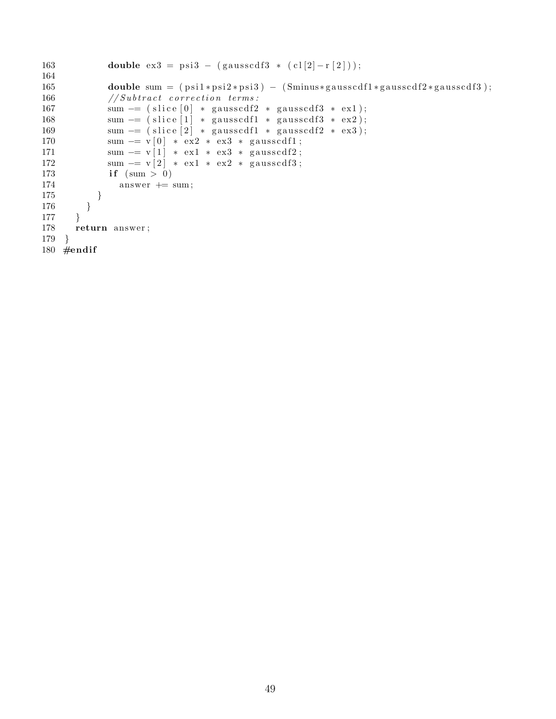```
163 double ex3 = psi3 – (gausscdf3 * (cl[2]-r[2]));
164
165 double sum = (psi1 *psi2 *psi3) - (Siminus *gausscdf1 *gausscdf2 *gausscdf3);166 //Subtract correction terms:
167 sum - (slice [0] * gausscdf2 * gausscdf3 * ex1);
168 sum - (slice [1] * gausscdf1 * gausscdf3 * ex2);
169 sum = (slice [2] * gausscdf1 * gausscdf2 * ex3);
170 sum = v[0] * ex2 * ex3 * gausscdf1;171 sum - v[1] * ex1 * ex3 * gausscdf2;
172 sum - v[2] * ex1 * ex2 * gausscdf3;
173 if (\text{sum} > 0)174 answer += sum;
175 }
176 }
177 }
178 return answer ;
179 }
180 \#endif
```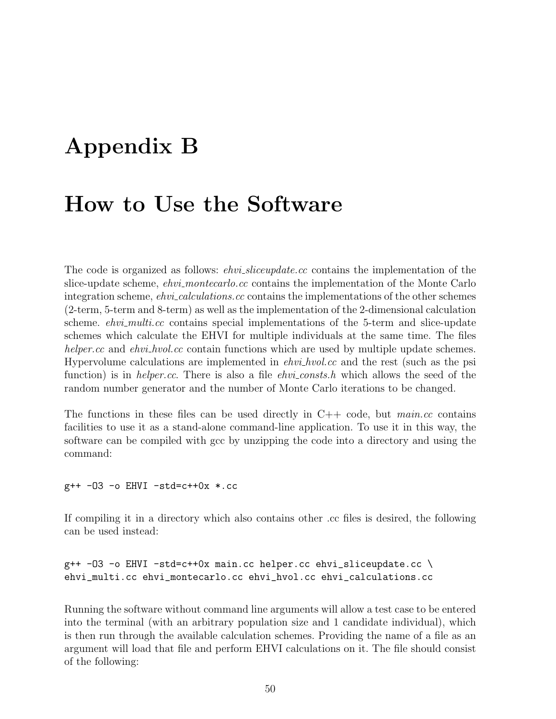## <span id="page-51-0"></span>Appendix B

#### How to Use the Software

The code is organized as follows: *ehvi\_sliceupdate.cc* contains the implementation of the slice-update scheme, *ehvi\_montecarlo.cc* contains the implementation of the Monte Carlo integration scheme, *ehvi-calculations.cc* contains the implementations of the other schemes (2-term, 5-term and 8-term) as well as the implementation of the 2-dimensional calculation scheme. *ehvi\_multi.cc* contains special implementations of the 5-term and slice-update schemes which calculate the EHVI for multiple individuals at the same time. The files helper.cc and ehvi\_hvol.cc contain functions which are used by multiple update schemes. Hypervolume calculations are implemented in  $ehvi_hvol$  cc and the rest (such as the psi function) is in *helper.cc*. There is also a file *ehvi-consts.h* which allows the seed of the random number generator and the number of Monte Carlo iterations to be changed.

The functions in these files can be used directly in  $C++$  code, but main.cc contains facilities to use it as a stand-alone command-line application. To use it in this way, the software can be compiled with gcc by unzipping the code into a directory and using the command:

 $g++ -03 -o EHVI -std=c++0x * .cc$ 

If compiling it in a directory which also contains other .cc files is desired, the following can be used instead:

```
g++ -O3 -o EHVI -std=c++0x main.cc helper.cc ehvi_sliceupdate.cc \
ehvi_multi.cc ehvi_montecarlo.cc ehvi_hvol.cc ehvi_calculations.cc
```
Running the software without command line arguments will allow a test case to be entered into the terminal (with an arbitrary population size and 1 candidate individual), which is then run through the available calculation schemes. Providing the name of a file as an argument will load that file and perform EHVI calculations on it. The file should consist of the following: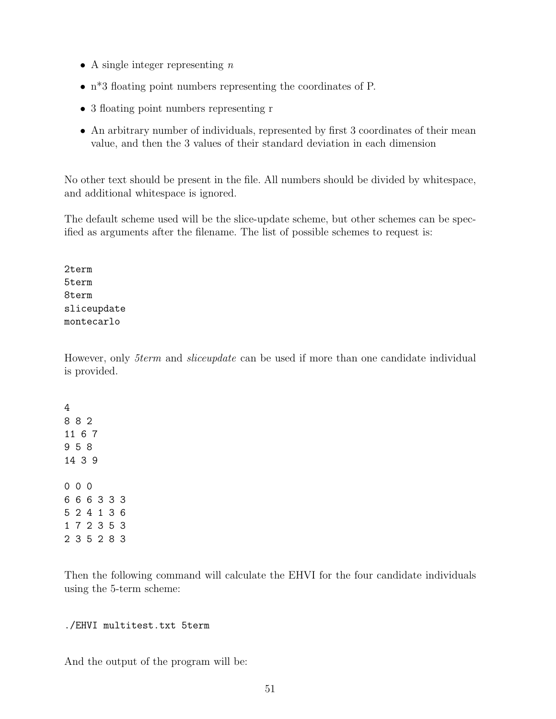- A single integer representing  $n$
- n\*3 floating point numbers representing the coordinates of P.
- 3 floating point numbers representing r
- An arbitrary number of individuals, represented by first 3 coordinates of their mean value, and then the 3 values of their standard deviation in each dimension

No other text should be present in the file. All numbers should be divided by whitespace, and additional whitespace is ignored.

The default scheme used will be the slice-update scheme, but other schemes can be specified as arguments after the filename. The list of possible schemes to request is:

2term 5term 8term sliceupdate montecarlo

However, only 5term and sliceupdate can be used if more than one candidate individual is provided.

Then the following command will calculate the EHVI for the four candidate individuals using the 5-term scheme:

#### ./EHVI multitest.txt 5term

And the output of the program will be: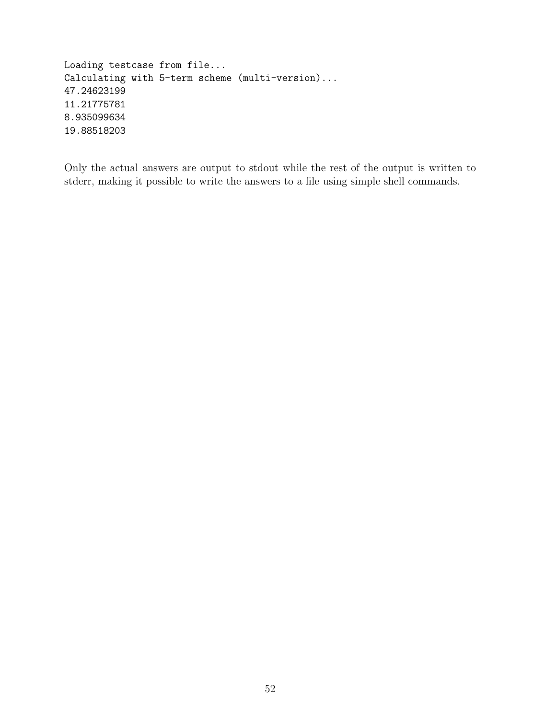Loading testcase from file... Calculating with 5-term scheme (multi-version)... 47.24623199 11.21775781 8.935099634 19.88518203

Only the actual answers are output to stdout while the rest of the output is written to stderr, making it possible to write the answers to a file using simple shell commands.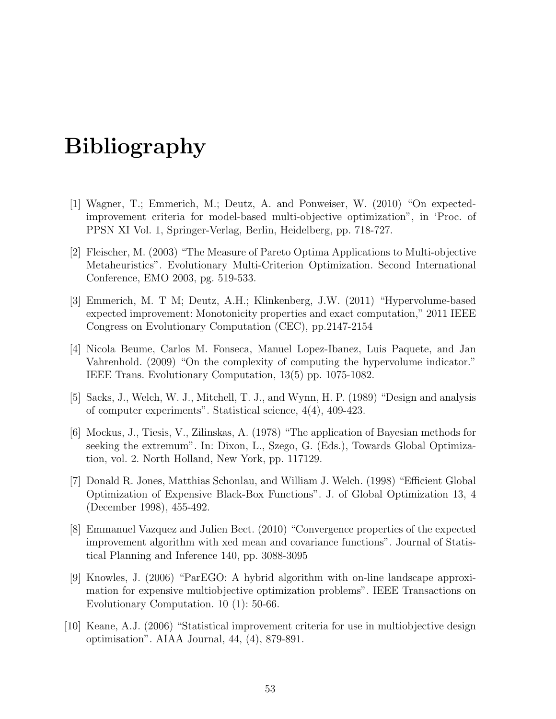## Bibliography

- <span id="page-54-0"></span>[1] Wagner, T.; Emmerich, M.; Deutz, A. and Ponweiser, W. (2010) "On expectedimprovement criteria for model-based multi-objective optimization", in 'Proc. of PPSN XI Vol. 1, Springer-Verlag, Berlin, Heidelberg, pp. 718-727.
- <span id="page-54-1"></span>[2] Fleischer, M. (2003) "The Measure of Pareto Optima Applications to Multi-objective Metaheuristics". Evolutionary Multi-Criterion Optimization. Second International Conference, EMO 2003, pg. 519-533.
- <span id="page-54-2"></span>[3] Emmerich, M. T M; Deutz, A.H.; Klinkenberg, J.W. (2011) "Hypervolume-based expected improvement: Monotonicity properties and exact computation," 2011 IEEE Congress on Evolutionary Computation (CEC), pp.2147-2154
- <span id="page-54-9"></span>[4] Nicola Beume, Carlos M. Fonseca, Manuel Lopez-Ibanez, Luis Paquete, and Jan Vahrenhold. (2009) "On the complexity of computing the hypervolume indicator." IEEE Trans. Evolutionary Computation, 13(5) pp. 1075-1082.
- <span id="page-54-8"></span>[5] Sacks, J., Welch, W. J., Mitchell, T. J., and Wynn, H. P. (1989) "Design and analysis of computer experiments". Statistical science, 4(4), 409-423.
- <span id="page-54-3"></span>[6] Mockus, J., Tiesis, V., Zilinskas, A. (1978) "The application of Bayesian methods for seeking the extremum". In: Dixon, L., Szego, G. (Eds.), Towards Global Optimization, vol. 2. North Holland, New York, pp. 117129.
- <span id="page-54-4"></span>[7] Donald R. Jones, Matthias Schonlau, and William J. Welch. (1998) "Efficient Global Optimization of Expensive Black-Box Functions". J. of Global Optimization 13, 4 (December 1998), 455-492.
- <span id="page-54-5"></span>[8] Emmanuel Vazquez and Julien Bect. (2010) "Convergence properties of the expected improvement algorithm with xed mean and covariance functions". Journal of Statistical Planning and Inference 140, pp. 3088-3095
- <span id="page-54-6"></span>[9] Knowles, J. (2006) "ParEGO: A hybrid algorithm with on-line landscape approximation for expensive multiobjective optimization problems". IEEE Transactions on Evolutionary Computation. 10 (1): 50-66.
- <span id="page-54-7"></span>[10] Keane, A.J. (2006) "Statistical improvement criteria for use in multiobjective design optimisation". AIAA Journal, 44, (4), 879-891.